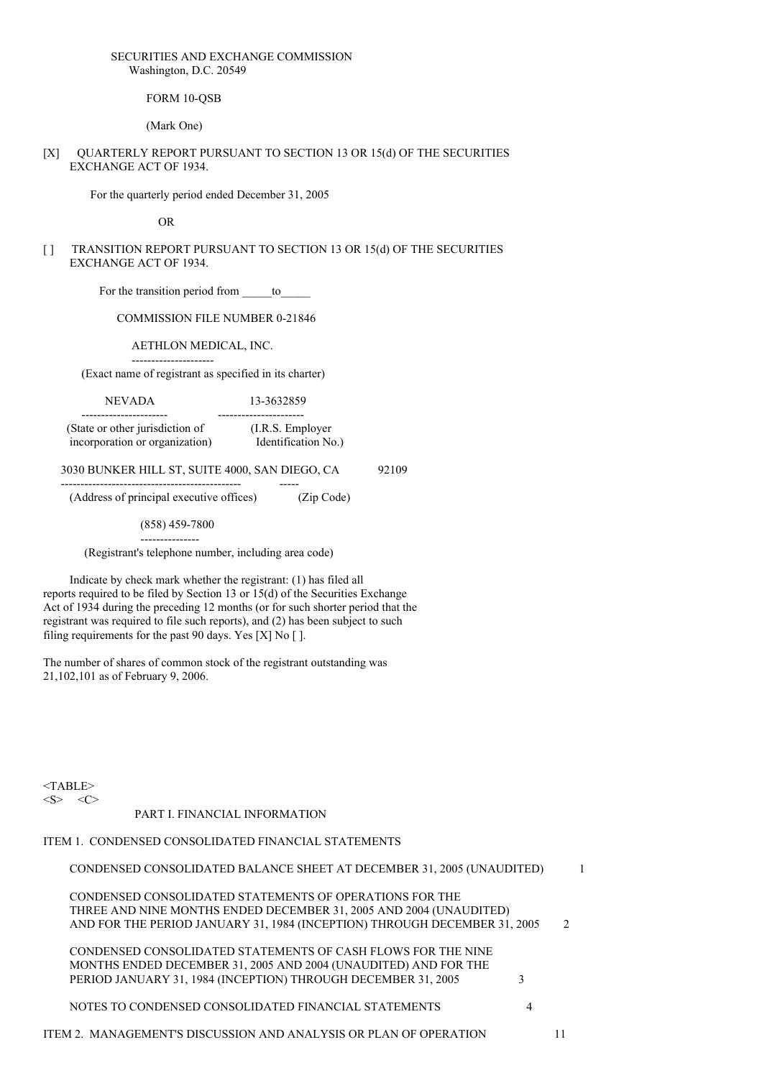### SECURITIES AND EXCHANGE COMMISSION Washington, D.C. 20549

#### FORM 10-OSB

(Mark One)

[X] QUARTERLY REPORT PURSUANT TO SECTION 13 OR 15(d) OF THE SECURITIES EXCHANGE ACT OF 1934.

For the quarterly period ended December 31, 2005

OR

[ ] TRANSITION REPORT PURSUANT TO SECTION 13 OR 15(d) OF THE SECURITIES EXCHANGE ACT OF 1934.

For the transition period from to

COMMISSION FILE NUMBER 0-21846

# AETHLON MEDICAL, INC.

--------------------- (Exact name of registrant as specified in its charter)

NEVADA 13-3632859

(State or other jurisdiction of (I.R.S. Employer incorporation or organization) Identification No.)

---------------------- ----------------------

3030 BUNKER HILL ST, SUITE 4000, SAN DIEGO, CA 92109

---------------------------------------------- ----- (Address of principal executive offices)

> (858) 459-7800 ---------------

(Registrant's telephone number, including area code)

Indicate by check mark whether the registrant: (1) has filed all reports required to be filed by Section 13 or 15(d) of the Securities Exchange Act of 1934 during the preceding 12 months (or for such shorter period that the registrant was required to file such reports), and (2) has been subject to such filing requirements for the past 90 days. Yes [X] No [ ].

The number of shares of common stock of the registrant outstanding was 21,102,101 as of February 9, 2006.

<TABLE>  $<\!\!S\!\!>$   $<\!\!C\!\!>$ 

### PART I. FINANCIAL INFORMATION

# ITEM 1. CONDENSED CONSOLIDATED FINANCIAL STATEMENTS

| CONDENSED CONSOLIDATED BALANCE SHEET AT DECEMBER 31, 2005 (UNAUDITED)                                                                 |               |  |
|---------------------------------------------------------------------------------------------------------------------------------------|---------------|--|
| CONDENSED CONSOLIDATED STATEMENTS OF OPERATIONS FOR THE<br>THREE AND NINE MONTHS ENDED DECEMBER 31, 2005 AND 2004 (UNAUDITED)         |               |  |
| AND FOR THE PERIOD JANUARY 31, 1984 (INCEPTION) THROUGH DECEMBER 31, 2005                                                             | $\mathcal{D}$ |  |
| CONDENSED CONSOLIDATED STATEMENTS OF CASH FLOWS FOR THE NINE                                                                          |               |  |
| MONTHS ENDED DECEMBER 31, 2005 AND 2004 (UNAUDITED) AND FOR THE<br>PERIOD JANUARY 31, 1984 (INCEPTION) THROUGH DECEMBER 31, 2005<br>3 |               |  |
| NOTES TO CONDENSED CONSOLIDATED FINANCIAL STATEMENTS                                                                                  |               |  |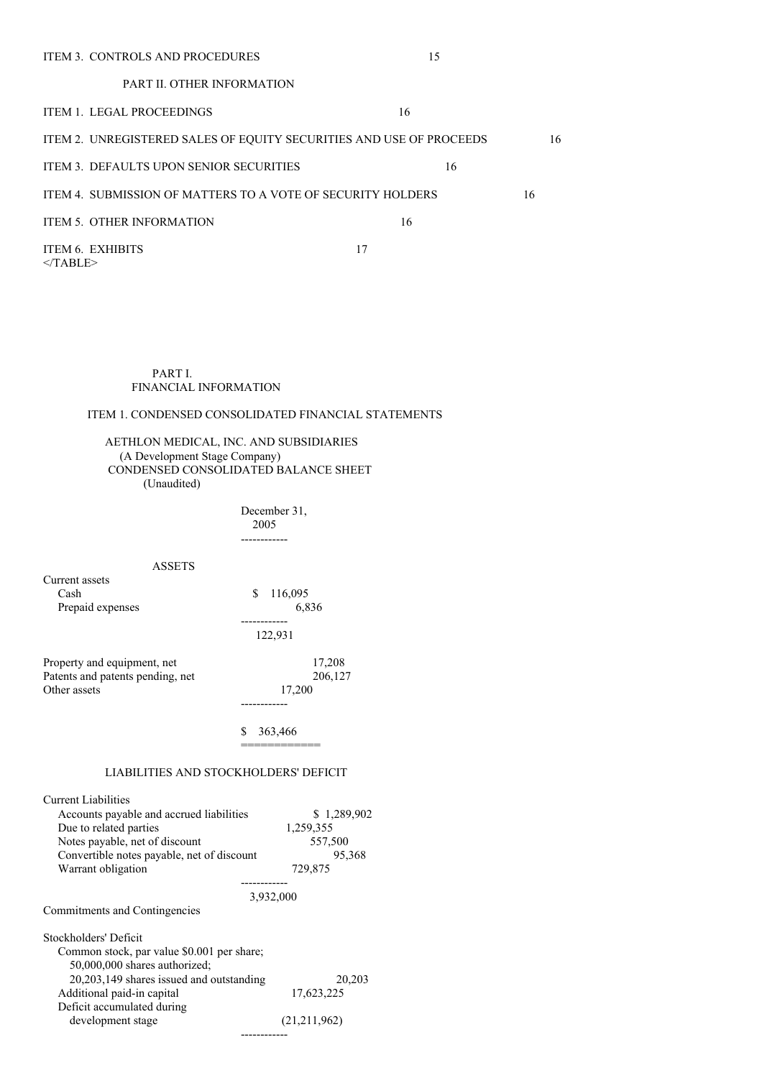| ITEM 3. CONTROLS AND PROCEDURES |  |
|---------------------------------|--|
|                                 |  |

# PART II. OTHER INFORMATION

|                  | ITEM 1. LEGAL PROCEEDINGS                                           | 16 |    |    |
|------------------|---------------------------------------------------------------------|----|----|----|
|                  | ITEM 2. UNREGISTERED SALES OF EQUITY SECURITIES AND USE OF PROCEEDS |    |    | 16 |
|                  | ITEM 3. DEFAULTS UPON SENIOR SECURITIES                             |    | 16 |    |
|                  | ITEM 4. SUBMISSION OF MATTERS TO A VOTE OF SECURITY HOLDERS         |    |    | 16 |
|                  | <b>ITEM 5. OTHER INFORMATION</b>                                    | 16 |    |    |
| $\langle$ TABLE> | ITEM 6. EXHIBITS                                                    | 17 |    |    |

PART I. FINANCIAL INFORMATION

# ITEM 1. CONDENSED CONSOLIDATED FINANCIAL STATEMENTS

# AETHLON MEDICAL, INC. AND SUBSIDIARIES (A Development Stage Company) CONDENSED CONSOLIDATED BALANCE SHEET (Unaudited)

| December 31. |  |
|--------------|--|
| 2005         |  |
|              |  |

| <b>ASSETS</b>                                                                   |                                   |
|---------------------------------------------------------------------------------|-----------------------------------|
| Current assets<br>Cash<br>Prepaid expenses                                      | 116,095<br>S<br>6,836<br>-------- |
|                                                                                 | 122,931                           |
| Property and equipment, net<br>Patents and patents pending, net<br>Other assets | 17,208<br>206,127<br>17,200       |
|                                                                                 | 363,466                           |

#### ============

# LIABILITIES AND STOCKHOLDERS' DEFICIT

| <b>Current Liabilities</b><br>Accounts payable and accrued liabilities<br>Due to related parties<br>Notes payable, net of discount<br>Convertible notes payable, net of discount<br>Warrant obligation | \$1,289,902<br>1,259,355<br>557,500<br>95,368<br>729,875 |
|--------------------------------------------------------------------------------------------------------------------------------------------------------------------------------------------------------|----------------------------------------------------------|
| -----------<br>3,932,000                                                                                                                                                                               |                                                          |
| Commitments and Contingencies                                                                                                                                                                          |                                                          |
| Stockholders' Deficit<br>Common stock, par value \$0.001 per share;<br>50,000,000 shares authorized;                                                                                                   | 20,203                                                   |
| 20,203,149 shares issued and outstanding                                                                                                                                                               |                                                          |
| Additional paid-in capital                                                                                                                                                                             | 17,623,225                                               |
| Deficit accumulated during                                                                                                                                                                             |                                                          |
| development stage                                                                                                                                                                                      | (21,211,962)                                             |
| -----------                                                                                                                                                                                            |                                                          |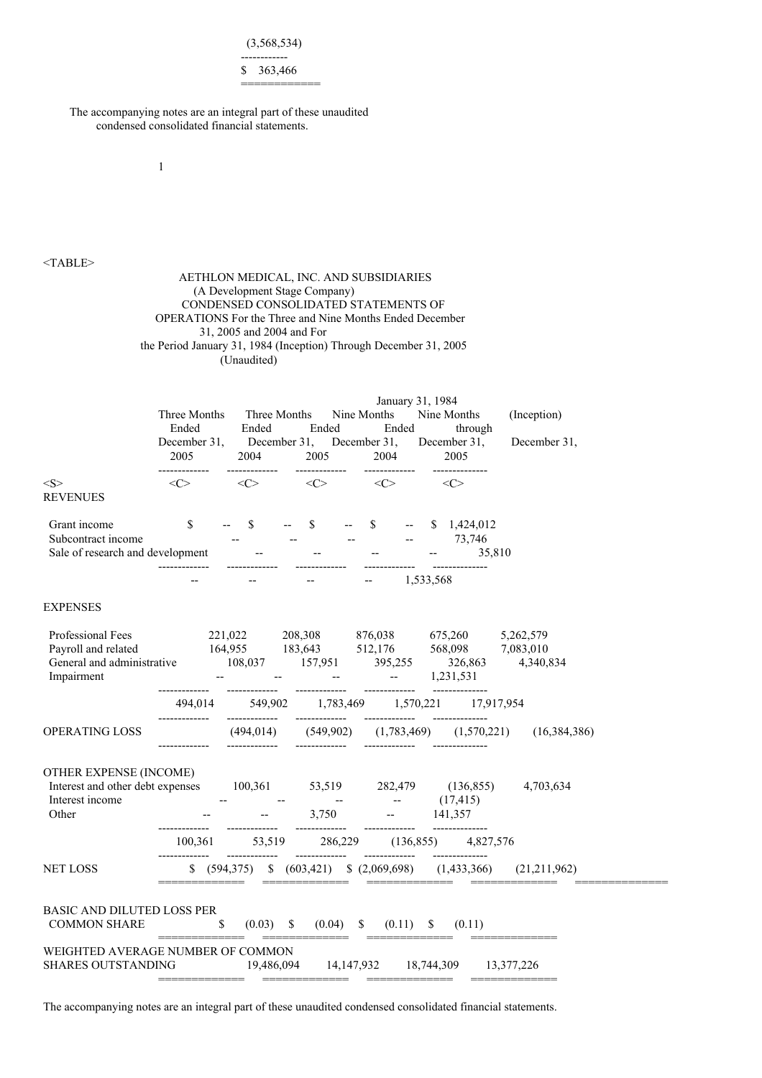(3,568,534)

------------ \$ 363,466

============

The accompanying notes are an integral part of these unaudited condensed consolidated financial statements.

1

## $<$ TABLE>

AETHLON MEDICAL, INC. AND SUBSIDIARIES (A Development Stage Company) CONDENSED CONSOLIDATED STATEMENTS OF OPERATIONS For the Three and Nine Months Ended December 31, 2005 and 2004 and For the Period January 31, 1984 (Inception) Through December 31, 2005 (Unaudited)

|                                                                                                                                                                                                                                                          | Three Months<br>Ended<br>December 31, December 31, December 31,<br>2005 | Ended<br>2004                      | Three Months Nine Months<br>Ended<br>2005         | January 31, 1984<br>Ended<br>2004 | Nine Months<br>through<br>December 31,<br>2005                       | (Inception)<br>December 31,                                        |
|----------------------------------------------------------------------------------------------------------------------------------------------------------------------------------------------------------------------------------------------------------|-------------------------------------------------------------------------|------------------------------------|---------------------------------------------------|-----------------------------------|----------------------------------------------------------------------|--------------------------------------------------------------------|
| $<\!\!S\!\!>$<br>REVENUES                                                                                                                                                                                                                                | -------------<br><<>                                                    | -------------<br>$<\infty$         | -------------                                     | -------------<br><<>              | <<>                                                                  |                                                                    |
| Grant income<br>Subcontract income<br>Sale of research and development --                                                                                                                                                                                | $\mathbb S$                                                             | $-$ \$<br><b>Contract Contract</b> | $\frac{1}{2}$ and $\frac{1}{2}$ and $\frac{1}{2}$ |                                   | $-$ \$ $-$ \$ $-$ \$ 1,424,012<br>73,746<br>35,810                   |                                                                    |
|                                                                                                                                                                                                                                                          |                                                                         |                                    |                                                   |                                   | 1,533,568                                                            |                                                                    |
| EXPENSES                                                                                                                                                                                                                                                 |                                                                         |                                    |                                                   |                                   |                                                                      |                                                                    |
| Professional Fees<br>Payroll and related<br>General and administrative<br>Inpairment<br>The Cool of Cool of Cool of Cool of Cool of Cool of Cool of Cool of Cool of Cool of Cool of Cool of Cool of Cool of Cool of Cool of Cool of Cool of Cool of Cool |                                                                         |                                    |                                                   |                                   | 221,022 208,308 876,038 675,260 5,262,579                            |                                                                    |
|                                                                                                                                                                                                                                                          |                                                                         |                                    |                                                   |                                   | 494,014 549,902 1,783,469 1,570,221 17,917,954                       |                                                                    |
| OPERATING LOSS                                                                                                                                                                                                                                           | -------------                                                           |                                    |                                                   |                                   |                                                                      | $(494,014)$ $(549,902)$ $(1,783,469)$ $(1,570,221)$ $(16,384,386)$ |
| OTHER EXPENSE (INCOME)<br>Interest and other debt expenses<br>Interest income<br>Other - - 3,750 - 141,357                                                                                                                                               |                                                                         |                                    |                                                   |                                   |                                                                      |                                                                    |
|                                                                                                                                                                                                                                                          |                                                                         |                                    |                                                   |                                   | 100,361 53,519 286,229 (136,855) 4,827,576                           |                                                                    |
| NET LOSS                                                                                                                                                                                                                                                 |                                                                         |                                    |                                                   |                                   | $$$ (594,375) $$$ (603,421) $$$ (2,069,698) (1,433,366) (21,211,962) |                                                                    |
| BASIC AND DILUTED LOSS PER<br><b>COMMON SHARE</b>                                                                                                                                                                                                        | $\mathbb{S}$                                                            |                                    |                                                   |                                   | $(0.03)$ \$ $(0.04)$ \$ $(0.11)$ \$ $(0.11)$                         |                                                                    |
| WEIGHTED AVERAGE NUMBER OF COMMON<br>SHARES OUTSTANDING 19,486,094 14,147,932 18,744,309 13,377,226                                                                                                                                                      | _____________<br>==============================                         |                                    |                                                   | =============                     |                                                                      |                                                                    |

The accompanying notes are an integral part of these unaudited condensed consolidated financial statements.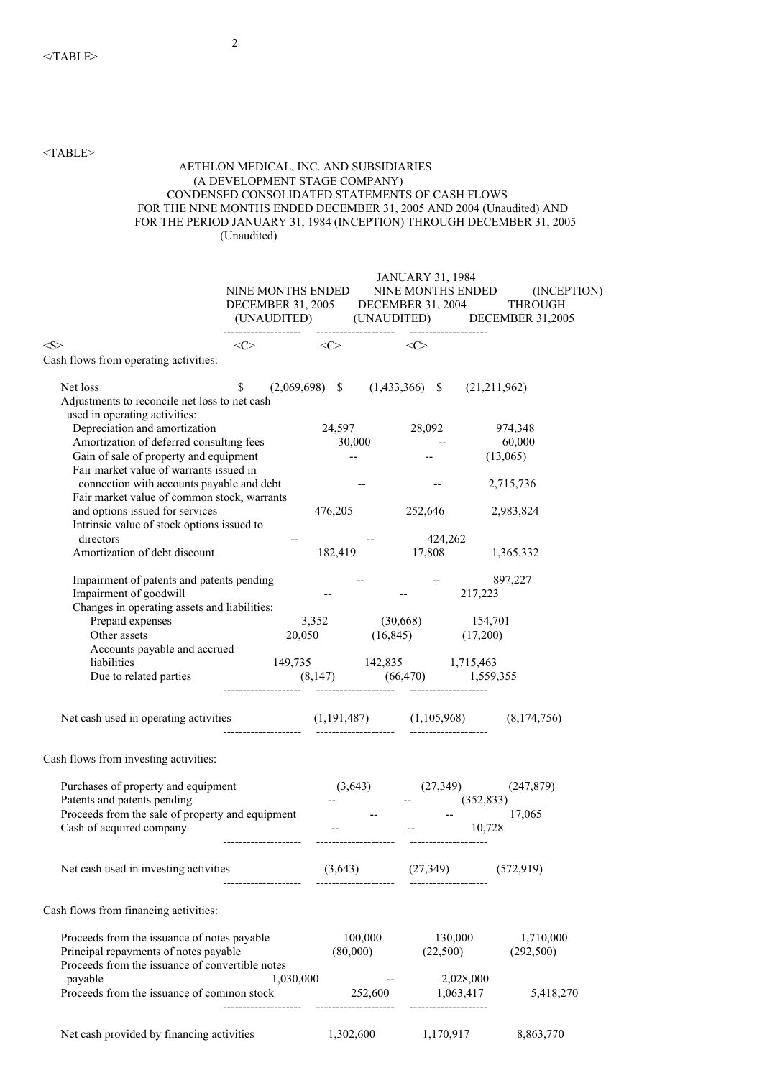## AETHLON MEDICAL, INC. AND SUBSIDIARIES (A DEVELOPMENT STAGE COMPANY) CONDENSED CONSOLIDATED STATEMENTS OF CASH FLOWS FOR THE NINE MONTHS ENDED DECEMBER 31, 2005 AND 2004 (Unaudited) AND FOR THE PERIOD JANUARY 31, 1984 (INCEPTION) THROUGH DECEMBER 31, 2005 (Unaudited)

|                                                                                                                                                   | DECEMBER 31, 2005 DECEMBER 31, 2004 THROUGH                  |                                                                                                |                                         | <b>JANUARY 31, 1984</b> |                                                                                     | NINE MONTHS ENDED NINE MONTHS ENDED (INCEPTION) |
|---------------------------------------------------------------------------------------------------------------------------------------------------|--------------------------------------------------------------|------------------------------------------------------------------------------------------------|-----------------------------------------|-------------------------|-------------------------------------------------------------------------------------|-------------------------------------------------|
|                                                                                                                                                   | (UNAUDITED) (UNAUDITED) DECEMBER 31,2005                     |                                                                                                |                                         |                         |                                                                                     |                                                 |
| <s><br/>Cash flows from operating activities:</s>                                                                                                 | $<\!\!C\!\!>$                                                |                                                                                                | $\langle C \rangle$ $\langle C \rangle$ |                         |                                                                                     |                                                 |
| Net loss<br>Adjustments to reconcile net loss to net cash<br>used in operating activities:                                                        | $\mathbb{S}$                                                 |                                                                                                |                                         |                         | $(2,069,698)$ \$ $(1,433,366)$ \$ $(21,211,962)$                                    |                                                 |
| Depreciation and amortization<br>Amortization of deferred consulting fees 30,000 -- 60,000<br>Gain of sale of property and equipment              | 24,597 28,092 974,348                                        | $\sim$                                                                                         |                                         |                         |                                                                                     | (13,065)                                        |
| Fair market value of warrants issued in<br>connection with accounts payable and debt<br>Fair market value of common stock, warrants               |                                                              |                                                                                                |                                         |                         | $-2,715,736$                                                                        |                                                 |
| and options issued for services<br>Intrinsic value of stock options issued to                                                                     |                                                              |                                                                                                |                                         |                         | 476,205 252,646 2,983,824                                                           |                                                 |
| directors<br>Amortization of debt discount                                                                                                        |                                                              |                                                                                                |                                         |                         | $\begin{array}{cccc} - & & 424,262 \\ 182,419 & & 17,808 & & 1,365,332 \end{array}$ |                                                 |
| Impairment of patents and patents pending<br>Impairment of goodwill<br>Changes in operating assets and liabilities:                               |                                                              |                                                                                                |                                         |                         | $-897,227$<br>$-217,223$                                                            |                                                 |
| Prepaid expenses<br>Other assets<br>Accounts payable and accrued                                                                                  | $3,352$ $(30,668)$ $154,701$<br>20,050 $(16,845)$ $(17,200)$ |                                                                                                |                                         |                         |                                                                                     |                                                 |
| liabilities<br>Due to related parties<br>$149,735$<br>$142,835$<br>$1,715,463$<br>$1,715,463$<br>$1,559,355$<br>$1,559,355$                       |                                                              |                                                                                                | -------------------                     |                         |                                                                                     |                                                 |
| Net cash used in operating activities (1,191,487) (1,105,968) (8,174,756)                                                                         |                                                              |                                                                                                |                                         |                         |                                                                                     |                                                 |
| Cash flows from investing activities:                                                                                                             |                                                              |                                                                                                |                                         |                         |                                                                                     |                                                 |
| Purchases of property and equipment (3,643) (27,349) (247,879)<br>Patents and patents pending<br>Proceeds from the sale of property and equipment |                                                              | $\frac{1}{\sqrt{2}}\frac{d\mathbf{r}}{d\mathbf{r}}=\frac{1}{2}\frac{d\mathbf{r}}{d\mathbf{r}}$ |                                         |                         | $-$ (352,833)                                                                       |                                                 |
| Cash of acquired company                                                                                                                          |                                                              |                                                                                                |                                         |                         | $-10.728$                                                                           | 17,065                                          |
| Net cash used in investing activities                                                                                                             |                                                              |                                                                                                |                                         |                         | $(3,643)$ $(27,349)$ $(572,919)$                                                    |                                                 |
| Cash flows from financing activities:                                                                                                             |                                                              |                                                                                                |                                         |                         |                                                                                     |                                                 |
| Proceeds from the issuance of notes payable<br>Principal repayments of notes payable<br>Proceeds from the issuance of convertible notes           |                                                              |                                                                                                | 100,000<br>$(80,000)$ $(22,500)$        | 130,000                 |                                                                                     | 1,710,000<br>(292, 500)                         |
| payable<br>Proceeds from the issuance of common stock                                                                                             | 1,030,000                                                    |                                                                                                | $-2,028,000$<br>252,600 1,063,417       |                         |                                                                                     | 5,418,270                                       |
| Net cash provided by financing activities                                                                                                         |                                                              | 1,302,600                                                                                      |                                         | 1,170,917               |                                                                                     | 8,863,770                                       |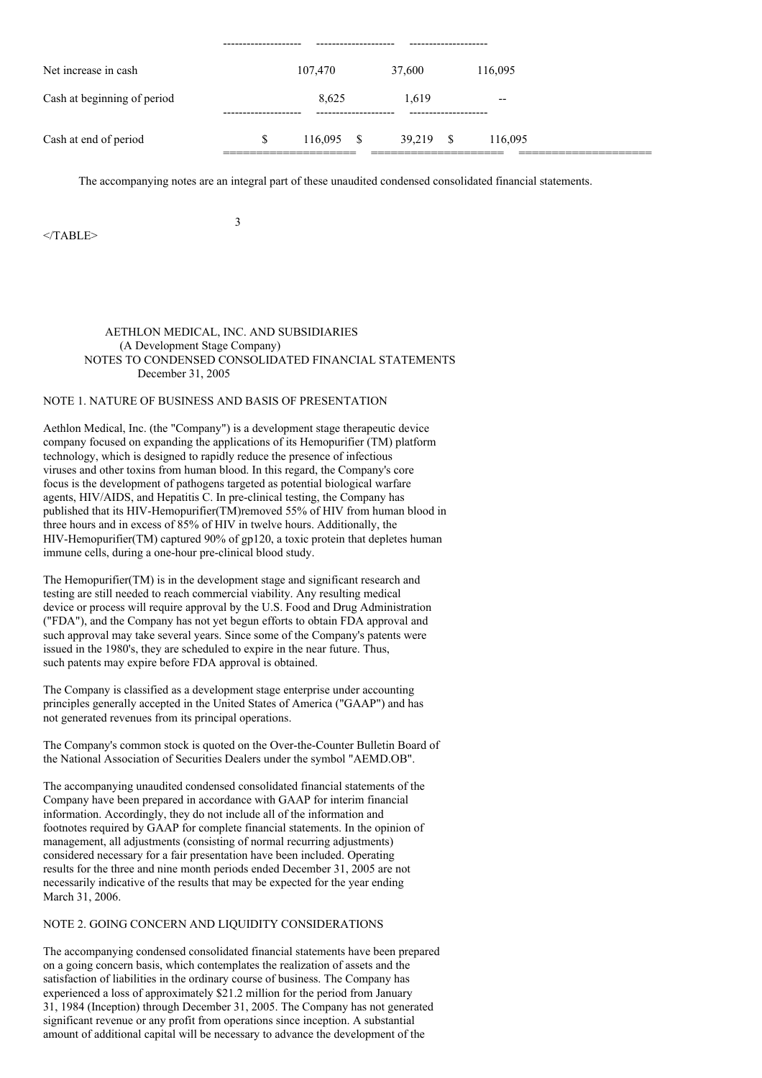|                             | -------------------- |         |     |           | ----------------- |                      |  |
|-----------------------------|----------------------|---------|-----|-----------|-------------------|----------------------|--|
| Net increase in cash        |                      | 107,470 |     | 37,600    | 116,095           |                      |  |
| Cash at beginning of period |                      | 8.625   |     | 1.619     | $- -$             |                      |  |
| Cash at end of period       | S                    | 116,095 | - S | 39.219 \$ | 116,095           | ____________________ |  |

The accompanying notes are an integral part of these unaudited condensed consolidated financial statements.

 $\angle$ TABLE>

## AETHLON MEDICAL, INC. AND SUBSIDIARIES (A Development Stage Company) NOTES TO CONDENSED CONSOLIDATED FINANCIAL STATEMENTS December 31, 2005

# NOTE 1. NATURE OF BUSINESS AND BASIS OF PRESENTATION

3

Aethlon Medical, Inc. (the "Company") is a development stage therapeutic device company focused on expanding the applications of its Hemopurifier (TM) platform technology, which is designed to rapidly reduce the presence of infectious viruses and other toxins from human blood. In this regard, the Company's core focus is the development of pathogens targeted as potential biological warfare agents, HIV/AIDS, and Hepatitis C. In pre-clinical testing, the Company has published that its HIV-Hemopurifier(TM)removed 55% of HIV from human blood in three hours and in excess of 85% of HIV in twelve hours. Additionally, the HIV-Hemopurifier(TM) captured 90% of gp120, a toxic protein that depletes human immune cells, during a one-hour pre-clinical blood study.

The Hemopurifier(TM) is in the development stage and significant research and testing are still needed to reach commercial viability. Any resulting medical device or process will require approval by the U.S. Food and Drug Administration ("FDA"), and the Company has not yet begun efforts to obtain FDA approval and such approval may take several years. Since some of the Company's patents were issued in the 1980's, they are scheduled to expire in the near future. Thus, such patents may expire before FDA approval is obtained.

The Company is classified as a development stage enterprise under accounting principles generally accepted in the United States of America ("GAAP") and has not generated revenues from its principal operations.

The Company's common stock is quoted on the Over-the-Counter Bulletin Board of the National Association of Securities Dealers under the symbol "AEMD.OB".

The accompanying unaudited condensed consolidated financial statements of the Company have been prepared in accordance with GAAP for interim financial information. Accordingly, they do not include all of the information and footnotes required by GAAP for complete financial statements. In the opinion of management, all adjustments (consisting of normal recurring adjustments) considered necessary for a fair presentation have been included. Operating results for the three and nine month periods ended December 31, 2005 are not necessarily indicative of the results that may be expected for the year ending March 31, 2006.

## NOTE 2. GOING CONCERN AND LIQUIDITY CONSIDERATIONS

The accompanying condensed consolidated financial statements have been prepared on a going concern basis, which contemplates the realization of assets and the satisfaction of liabilities in the ordinary course of business. The Company has experienced a loss of approximately \$21.2 million for the period from January 31, 1984 (Inception) through December 31, 2005. The Company has not generated significant revenue or any profit from operations since inception. A substantial amount of additional capital will be necessary to advance the development of the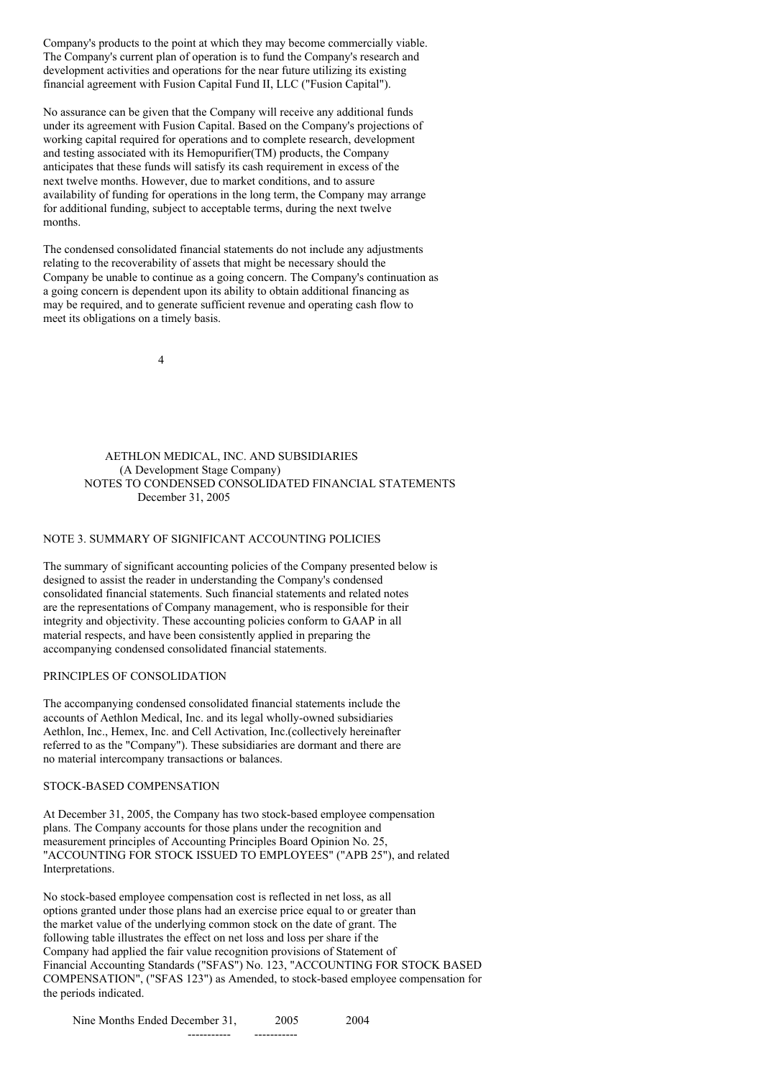Company's products to the point at which they may become commercially viable. The Company's current plan of operation is to fund the Company's research and development activities and operations for the near future utilizing its existing financial agreement with Fusion Capital Fund II, LLC ("Fusion Capital").

No assurance can be given that the Company will receive any additional funds under its agreement with Fusion Capital. Based on the Company's projections of working capital required for operations and to complete research, development and testing associated with its Hemopurifier(TM) products, the Company anticipates that these funds will satisfy its cash requirement in excess of the next twelve months. However, due to market conditions, and to assure availability of funding for operations in the long term, the Company may arrange for additional funding, subject to acceptable terms, during the next twelve months.

The condensed consolidated financial statements do not include any adjustments relating to the recoverability of assets that might be necessary should the Company be unable to continue as a going concern. The Company's continuation as a going concern is dependent upon its ability to obtain additional financing as may be required, and to generate sufficient revenue and operating cash flow to meet its obligations on a timely basis.

4

AETHLON MEDICAL, INC. AND SUBSIDIARIES (A Development Stage Company) NOTES TO CONDENSED CONSOLIDATED FINANCIAL STATEMENTS December 31, 2005

## NOTE 3. SUMMARY OF SIGNIFICANT ACCOUNTING POLICIES

The summary of significant accounting policies of the Company presented below is designed to assist the reader in understanding the Company's condensed consolidated financial statements. Such financial statements and related notes are the representations of Company management, who is responsible for their integrity and objectivity. These accounting policies conform to GAAP in all material respects, and have been consistently applied in preparing the accompanying condensed consolidated financial statements.

#### PRINCIPLES OF CONSOLIDATION

The accompanying condensed consolidated financial statements include the accounts of Aethlon Medical, Inc. and its legal wholly-owned subsidiaries Aethlon, Inc., Hemex, Inc. and Cell Activation, Inc.(collectively hereinafter referred to as the "Company"). These subsidiaries are dormant and there are no material intercompany transactions or balances.

#### STOCK-BASED COMPENSATION

At December 31, 2005, the Company has two stock-based employee compensation plans. The Company accounts for those plans under the recognition and measurement principles of Accounting Principles Board Opinion No. 25, "ACCOUNTING FOR STOCK ISSUED TO EMPLOYEES" ("APB 25"), and related Interpretations.

No stock-based employee compensation cost is reflected in net loss, as all options granted under those plans had an exercise price equal to or greater than the market value of the underlying common stock on the date of grant. The following table illustrates the effect on net loss and loss per share if the Company had applied the fair value recognition provisions of Statement of Financial Accounting Standards ("SFAS") No. 123, "ACCOUNTING FOR STOCK BASED COMPENSATION", ("SFAS 123") as Amended, to stock-based employee compensation for the periods indicated.

Nine Months Ended December 31, 2005 2004

----------- -----------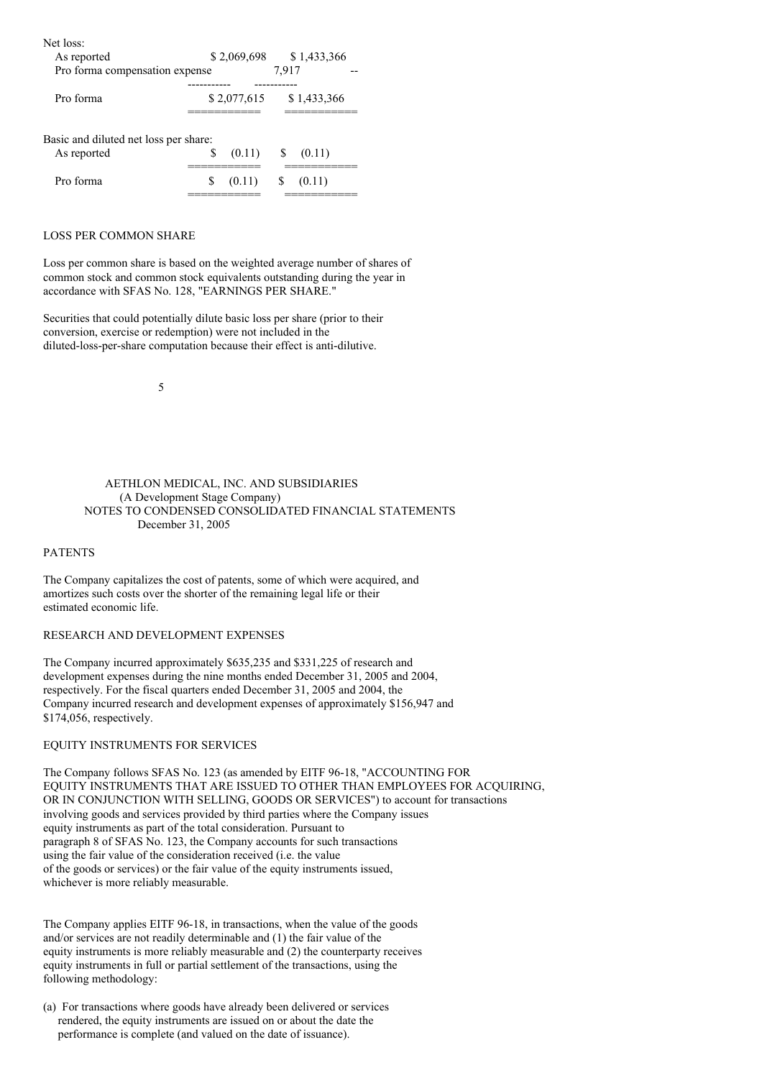| Net loss:                                            |                  |             |
|------------------------------------------------------|------------------|-------------|
| As reported                                          | \$2,069,698      | \$1,433,366 |
| Pro forma compensation expense                       |                  | 7,917       |
| Pro forma                                            | \$2,077,615      | \$1,433,366 |
| Basic and diluted net loss per share:<br>As reported | $(0.11)$ \$<br>S | (0.11)      |
| Pro forma                                            | (0.11)           | S<br>(0.11) |

#### LOSS PER COMMON SHARE

Loss per common share is based on the weighted average number of shares of common stock and common stock equivalents outstanding during the year in accordance with SFAS No. 128, "EARNINGS PER SHARE."

Securities that could potentially dilute basic loss per share (prior to their conversion, exercise or redemption) were not included in the diluted-loss-per-share computation because their effect is anti-dilutive.

5

## AETHLON MEDICAL, INC. AND SUBSIDIARIES (A Development Stage Company) NOTES TO CONDENSED CONSOLIDATED FINANCIAL STATEMENTS December 31, 2005

#### PATENTS

The Company capitalizes the cost of patents, some of which were acquired, and amortizes such costs over the shorter of the remaining legal life or their estimated economic life.

### RESEARCH AND DEVELOPMENT EXPENSES

The Company incurred approximately \$635,235 and \$331,225 of research and development expenses during the nine months ended December 31, 2005 and 2004, respectively. For the fiscal quarters ended December 31, 2005 and 2004, the Company incurred research and development expenses of approximately \$156,947 and \$174,056, respectively.

# EQUITY INSTRUMENTS FOR SERVICES

The Company follows SFAS No. 123 (as amended by EITF 96-18, "ACCOUNTING FOR EQUITY INSTRUMENTS THAT ARE ISSUED TO OTHER THAN EMPLOYEES FOR ACQUIRING, OR IN CONJUNCTION WITH SELLING, GOODS OR SERVICES") to account for transactions involving goods and services provided by third parties where the Company issues equity instruments as part of the total consideration. Pursuant to paragraph 8 of SFAS No. 123, the Company accounts for such transactions using the fair value of the consideration received (i.e. the value of the goods or services) or the fair value of the equity instruments issued, whichever is more reliably measurable.

The Company applies EITF 96-18, in transactions, when the value of the goods and/or services are not readily determinable and (1) the fair value of the equity instruments is more reliably measurable and (2) the counterparty receives equity instruments in full or partial settlement of the transactions, using the following methodology:

(a) For transactions where goods have already been delivered or services rendered, the equity instruments are issued on or about the date the performance is complete (and valued on the date of issuance).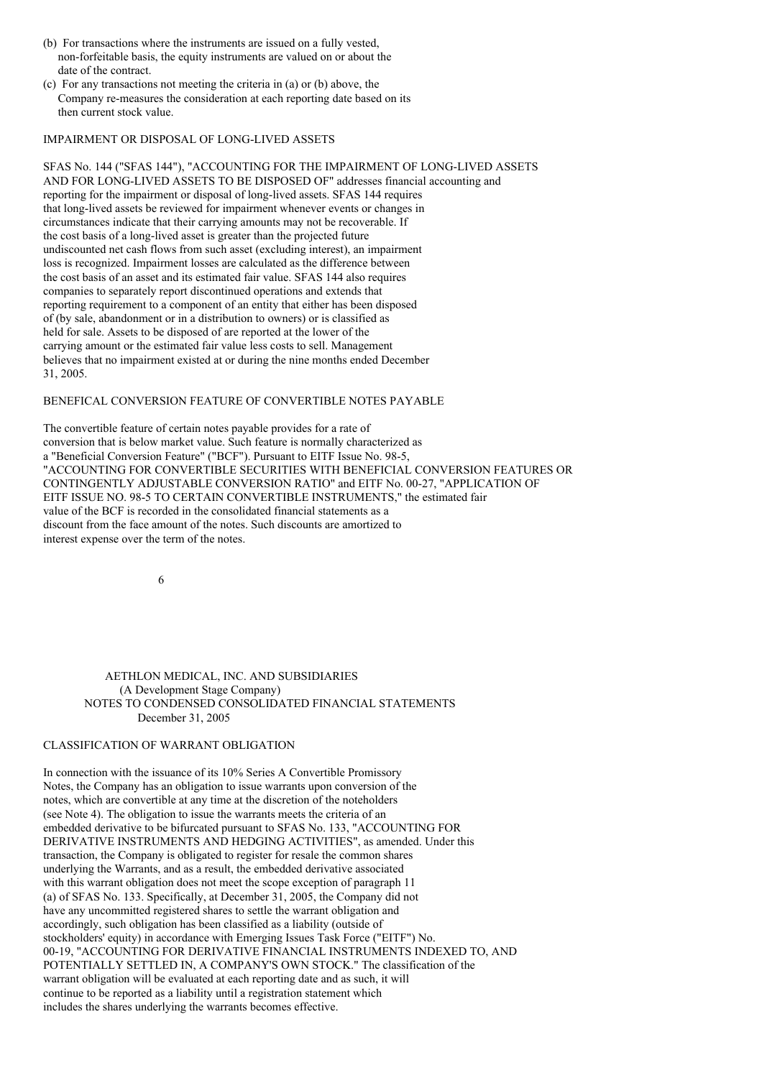- (b) For transactions where the instruments are issued on a fully vested, non-forfeitable basis, the equity instruments are valued on or about the date of the contract.
- (c) For any transactions not meeting the criteria in (a) or (b) above, the Company re-measures the consideration at each reporting date based on its then current stock value.

## IMPAIRMENT OR DISPOSAL OF LONG-LIVED ASSETS

SFAS No. 144 ("SFAS 144"), "ACCOUNTING FOR THE IMPAIRMENT OF LONG-LIVED ASSETS AND FOR LONG-LIVED ASSETS TO BE DISPOSED OF" addresses financial accounting and reporting for the impairment or disposal of long-lived assets. SFAS 144 requires that long-lived assets be reviewed for impairment whenever events or changes in circumstances indicate that their carrying amounts may not be recoverable. If the cost basis of a long-lived asset is greater than the projected future undiscounted net cash flows from such asset (excluding interest), an impairment loss is recognized. Impairment losses are calculated as the difference between the cost basis of an asset and its estimated fair value. SFAS 144 also requires companies to separately report discontinued operations and extends that reporting requirement to a component of an entity that either has been disposed of (by sale, abandonment or in a distribution to owners) or is classified as held for sale. Assets to be disposed of are reported at the lower of the carrying amount or the estimated fair value less costs to sell. Management believes that no impairment existed at or during the nine months ended December 31, 2005.

## BENEFICAL CONVERSION FEATURE OF CONVERTIBLE NOTES PAYABLE

The convertible feature of certain notes payable provides for a rate of conversion that is below market value. Such feature is normally characterized as a "Beneficial Conversion Feature" ("BCF"). Pursuant to EITF Issue No. 98-5, "ACCOUNTING FOR CONVERTIBLE SECURITIES WITH BENEFICIAL CONVERSION FEATURES OR CONTINGENTLY ADJUSTABLE CONVERSION RATIO" and EITF No. 00-27, "APPLICATION OF EITF ISSUE NO. 98-5 TO CERTAIN CONVERTIBLE INSTRUMENTS," the estimated fair value of the BCF is recorded in the consolidated financial statements as a discount from the face amount of the notes. Such discounts are amortized to interest expense over the term of the notes.

6

AETHLON MEDICAL, INC. AND SUBSIDIARIES (A Development Stage Company) NOTES TO CONDENSED CONSOLIDATED FINANCIAL STATEMENTS December 31, 2005

### CLASSIFICATION OF WARRANT OBLIGATION

In connection with the issuance of its 10% Series A Convertible Promissory Notes, the Company has an obligation to issue warrants upon conversion of the notes, which are convertible at any time at the discretion of the noteholders (see Note 4). The obligation to issue the warrants meets the criteria of an embedded derivative to be bifurcated pursuant to SFAS No. 133, "ACCOUNTING FOR DERIVATIVE INSTRUMENTS AND HEDGING ACTIVITIES", as amended. Under this transaction, the Company is obligated to register for resale the common shares underlying the Warrants, and as a result, the embedded derivative associated with this warrant obligation does not meet the scope exception of paragraph 11 (a) of SFAS No. 133. Specifically, at December 31, 2005, the Company did not have any uncommitted registered shares to settle the warrant obligation and accordingly, such obligation has been classified as a liability (outside of stockholders' equity) in accordance with Emerging Issues Task Force ("EITF") No. 00-19, "ACCOUNTING FOR DERIVATIVE FINANCIAL INSTRUMENTS INDEXED TO, AND POTENTIALLY SETTLED IN, A COMPANY'S OWN STOCK." The classification of the warrant obligation will be evaluated at each reporting date and as such, it will continue to be reported as a liability until a registration statement which includes the shares underlying the warrants becomes effective.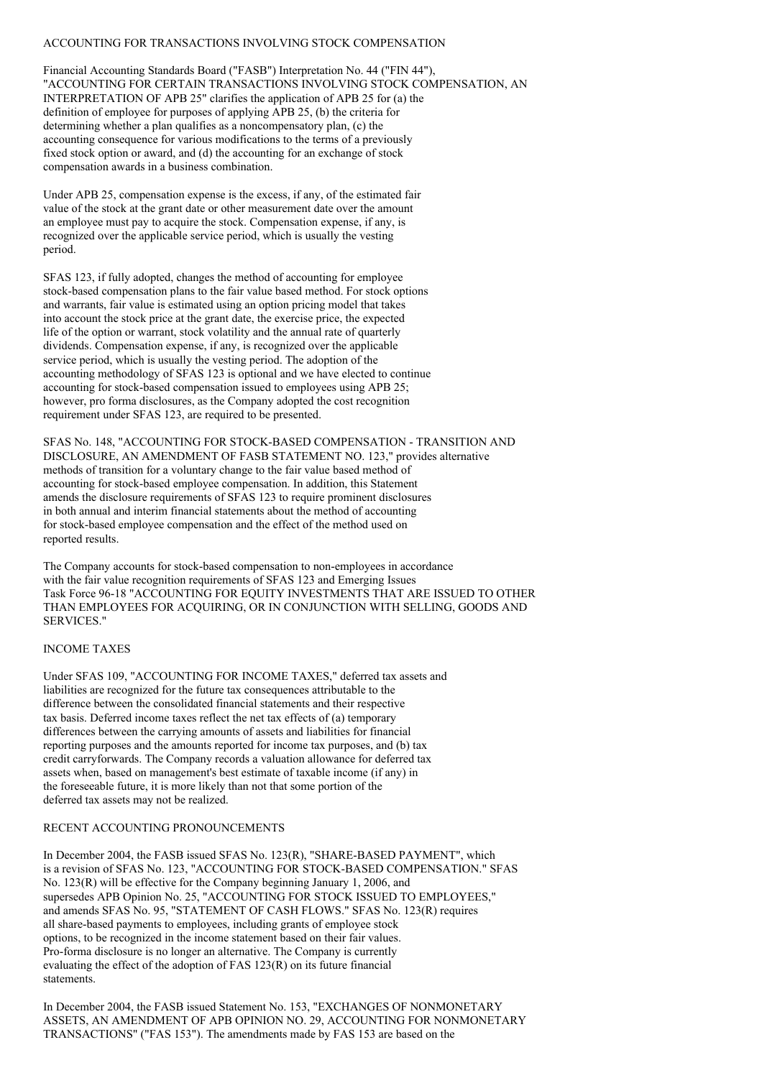## ACCOUNTING FOR TRANSACTIONS INVOLVING STOCK COMPENSATION

Financial Accounting Standards Board ("FASB") Interpretation No. 44 ("FIN 44"), "ACCOUNTING FOR CERTAIN TRANSACTIONS INVOLVING STOCK COMPENSATION, AN INTERPRETATION OF APB 25" clarifies the application of APB 25 for (a) the definition of employee for purposes of applying APB 25, (b) the criteria for determining whether a plan qualifies as a noncompensatory plan, (c) the accounting consequence for various modifications to the terms of a previously fixed stock option or award, and (d) the accounting for an exchange of stock compensation awards in a business combination.

Under APB 25, compensation expense is the excess, if any, of the estimated fair value of the stock at the grant date or other measurement date over the amount an employee must pay to acquire the stock. Compensation expense, if any, is recognized over the applicable service period, which is usually the vesting period.

SFAS 123, if fully adopted, changes the method of accounting for employee stock-based compensation plans to the fair value based method. For stock options and warrants, fair value is estimated using an option pricing model that takes into account the stock price at the grant date, the exercise price, the expected life of the option or warrant, stock volatility and the annual rate of quarterly dividends. Compensation expense, if any, is recognized over the applicable service period, which is usually the vesting period. The adoption of the accounting methodology of SFAS 123 is optional and we have elected to continue accounting for stock-based compensation issued to employees using APB 25; however, pro forma disclosures, as the Company adopted the cost recognition requirement under SFAS 123, are required to be presented.

SFAS No. 148, "ACCOUNTING FOR STOCK-BASED COMPENSATION - TRANSITION AND DISCLOSURE, AN AMENDMENT OF FASB STATEMENT NO. 123," provides alternative methods of transition for a voluntary change to the fair value based method of accounting for stock-based employee compensation. In addition, this Statement amends the disclosure requirements of SFAS 123 to require prominent disclosures in both annual and interim financial statements about the method of accounting for stock-based employee compensation and the effect of the method used on reported results.

The Company accounts for stock-based compensation to non-employees in accordance with the fair value recognition requirements of SFAS 123 and Emerging Issues Task Force 96-18 "ACCOUNTING FOR EQUITY INVESTMENTS THAT ARE ISSUED TO OTHER THAN EMPLOYEES FOR ACQUIRING, OR IN CONJUNCTION WITH SELLING, GOODS AND SERVICES."

### INCOME TAXES

Under SFAS 109, "ACCOUNTING FOR INCOME TAXES," deferred tax assets and liabilities are recognized for the future tax consequences attributable to the difference between the consolidated financial statements and their respective tax basis. Deferred income taxes reflect the net tax effects of (a) temporary differences between the carrying amounts of assets and liabilities for financial reporting purposes and the amounts reported for income tax purposes, and (b) tax credit carryforwards. The Company records a valuation allowance for deferred tax assets when, based on management's best estimate of taxable income (if any) in the foreseeable future, it is more likely than not that some portion of the deferred tax assets may not be realized.

### RECENT ACCOUNTING PRONOUNCEMENTS

In December 2004, the FASB issued SFAS No. 123(R), "SHARE-BASED PAYMENT", which is a revision of SFAS No. 123, "ACCOUNTING FOR STOCK-BASED COMPENSATION." SFAS No. 123(R) will be effective for the Company beginning January 1, 2006, and supersedes APB Opinion No. 25, "ACCOUNTING FOR STOCK ISSUED TO EMPLOYEES," and amends SFAS No. 95, "STATEMENT OF CASH FLOWS." SFAS No. 123(R) requires all share-based payments to employees, including grants of employee stock options, to be recognized in the income statement based on their fair values. Pro-forma disclosure is no longer an alternative. The Company is currently evaluating the effect of the adoption of FAS 123(R) on its future financial statements.

In December 2004, the FASB issued Statement No. 153, "EXCHANGES OF NONMONETARY ASSETS, AN AMENDMENT OF APB OPINION NO. 29, ACCOUNTING FOR NONMONETARY TRANSACTIONS" ("FAS 153"). The amendments made by FAS 153 are based on the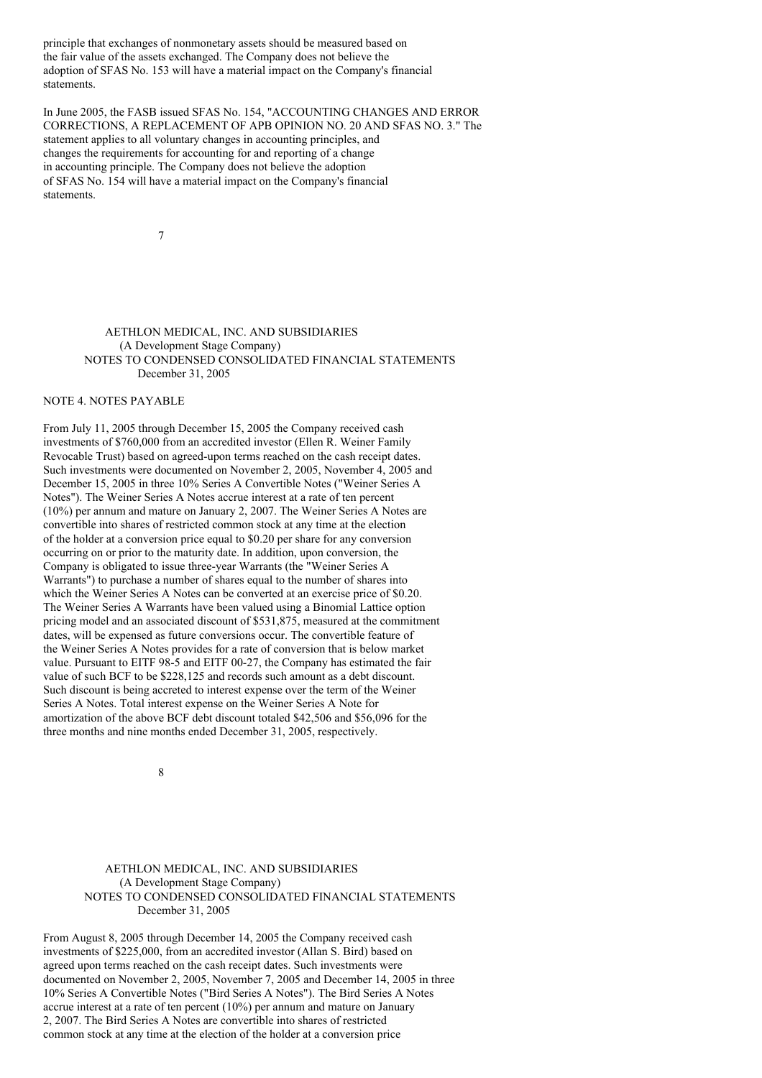principle that exchanges of nonmonetary assets should be measured based on the fair value of the assets exchanged. The Company does not believe the adoption of SFAS No. 153 will have a material impact on the Company's financial statements.

In June 2005, the FASB issued SFAS No. 154, "ACCOUNTING CHANGES AND ERROR CORRECTIONS, A REPLACEMENT OF APB OPINION NO. 20 AND SFAS NO. 3." The statement applies to all voluntary changes in accounting principles, and changes the requirements for accounting for and reporting of a change in accounting principle. The Company does not believe the adoption of SFAS No. 154 will have a material impact on the Company's financial statements.

7

AETHLON MEDICAL, INC. AND SUBSIDIARIES (A Development Stage Company) NOTES TO CONDENSED CONSOLIDATED FINANCIAL STATEMENTS December 31, 2005

# NOTE 4. NOTES PAYABLE

From July 11, 2005 through December 15, 2005 the Company received cash investments of \$760,000 from an accredited investor (Ellen R. Weiner Family Revocable Trust) based on agreed-upon terms reached on the cash receipt dates. Such investments were documented on November 2, 2005, November 4, 2005 and December 15, 2005 in three 10% Series A Convertible Notes ("Weiner Series A Notes"). The Weiner Series A Notes accrue interest at a rate of ten percent (10%) per annum and mature on January 2, 2007. The Weiner Series A Notes are convertible into shares of restricted common stock at any time at the election of the holder at a conversion price equal to \$0.20 per share for any conversion occurring on or prior to the maturity date. In addition, upon conversion, the Company is obligated to issue three-year Warrants (the "Weiner Series A Warrants") to purchase a number of shares equal to the number of shares into which the Weiner Series A Notes can be converted at an exercise price of \$0.20. The Weiner Series A Warrants have been valued using a Binomial Lattice option pricing model and an associated discount of \$531,875, measured at the commitment dates, will be expensed as future conversions occur. The convertible feature of the Weiner Series A Notes provides for a rate of conversion that is below market value. Pursuant to EITF 98-5 and EITF 00-27, the Company has estimated the fair value of such BCF to be \$228,125 and records such amount as a debt discount. Such discount is being accreted to interest expense over the term of the Weiner Series A Notes. Total interest expense on the Weiner Series A Note for amortization of the above BCF debt discount totaled \$42,506 and \$56,096 for the three months and nine months ended December 31, 2005, respectively.

8

AETHLON MEDICAL, INC. AND SUBSIDIARIES (A Development Stage Company) NOTES TO CONDENSED CONSOLIDATED FINANCIAL STATEMENTS December 31, 2005

From August 8, 2005 through December 14, 2005 the Company received cash investments of \$225,000, from an accredited investor (Allan S. Bird) based on agreed upon terms reached on the cash receipt dates. Such investments were documented on November 2, 2005, November 7, 2005 and December 14, 2005 in three 10% Series A Convertible Notes ("Bird Series A Notes"). The Bird Series A Notes accrue interest at a rate of ten percent (10%) per annum and mature on January 2, 2007. The Bird Series A Notes are convertible into shares of restricted common stock at any time at the election of the holder at a conversion price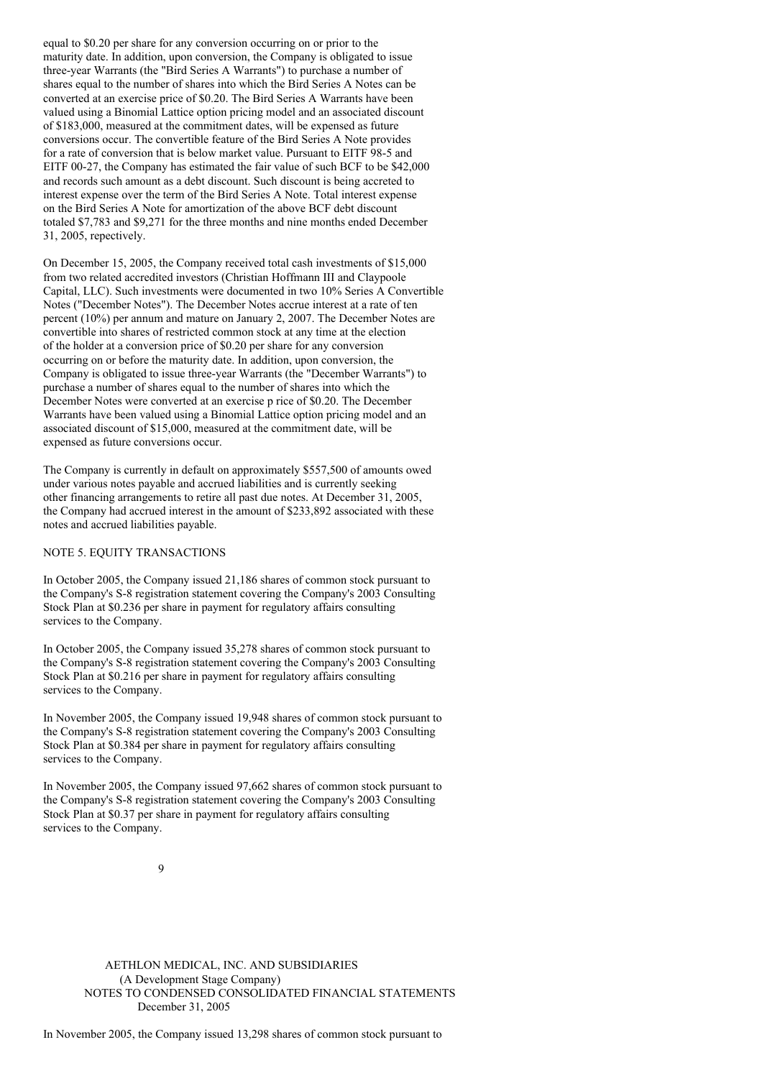equal to \$0.20 per share for any conversion occurring on or prior to the maturity date. In addition, upon conversion, the Company is obligated to issue three-year Warrants (the "Bird Series A Warrants") to purchase a number of shares equal to the number of shares into which the Bird Series A Notes can be converted at an exercise price of \$0.20. The Bird Series A Warrants have been valued using a Binomial Lattice option pricing model and an associated discount of \$183,000, measured at the commitment dates, will be expensed as future conversions occur. The convertible feature of the Bird Series A Note provides for a rate of conversion that is below market value. Pursuant to EITF 98-5 and EITF 00-27, the Company has estimated the fair value of such BCF to be \$42,000 and records such amount as a debt discount. Such discount is being accreted to interest expense over the term of the Bird Series A Note. Total interest expense on the Bird Series A Note for amortization of the above BCF debt discount totaled \$7,783 and \$9,271 for the three months and nine months ended December 31, 2005, repectively.

On December 15, 2005, the Company received total cash investments of \$15,000 from two related accredited investors (Christian Hoffmann III and Claypoole Capital, LLC). Such investments were documented in two 10% Series A Convertible Notes ("December Notes"). The December Notes accrue interest at a rate of ten percent (10%) per annum and mature on January 2, 2007. The December Notes are convertible into shares of restricted common stock at any time at the election of the holder at a conversion price of \$0.20 per share for any conversion occurring on or before the maturity date. In addition, upon conversion, the Company is obligated to issue three-year Warrants (the "December Warrants") to purchase a number of shares equal to the number of shares into which the December Notes were converted at an exercise p rice of \$0.20. The December Warrants have been valued using a Binomial Lattice option pricing model and an associated discount of \$15,000, measured at the commitment date, will be expensed as future conversions occur.

The Company is currently in default on approximately \$557,500 of amounts owed under various notes payable and accrued liabilities and is currently seeking other financing arrangements to retire all past due notes. At December 31, 2005, the Company had accrued interest in the amount of \$233,892 associated with these notes and accrued liabilities payable.

#### NOTE 5. EQUITY TRANSACTIONS

In October 2005, the Company issued 21,186 shares of common stock pursuant to the Company's S-8 registration statement covering the Company's 2003 Consulting Stock Plan at \$0.236 per share in payment for regulatory affairs consulting services to the Company.

In October 2005, the Company issued 35,278 shares of common stock pursuant to the Company's S-8 registration statement covering the Company's 2003 Consulting Stock Plan at \$0.216 per share in payment for regulatory affairs consulting services to the Company.

In November 2005, the Company issued 19,948 shares of common stock pursuant to the Company's S-8 registration statement covering the Company's 2003 Consulting Stock Plan at \$0.384 per share in payment for regulatory affairs consulting services to the Company.

In November 2005, the Company issued 97,662 shares of common stock pursuant to the Company's S-8 registration statement covering the Company's 2003 Consulting Stock Plan at \$0.37 per share in payment for regulatory affairs consulting services to the Company.



AETHLON MEDICAL, INC. AND SUBSIDIARIES (A Development Stage Company) NOTES TO CONDENSED CONSOLIDATED FINANCIAL STATEMENTS December 31, 2005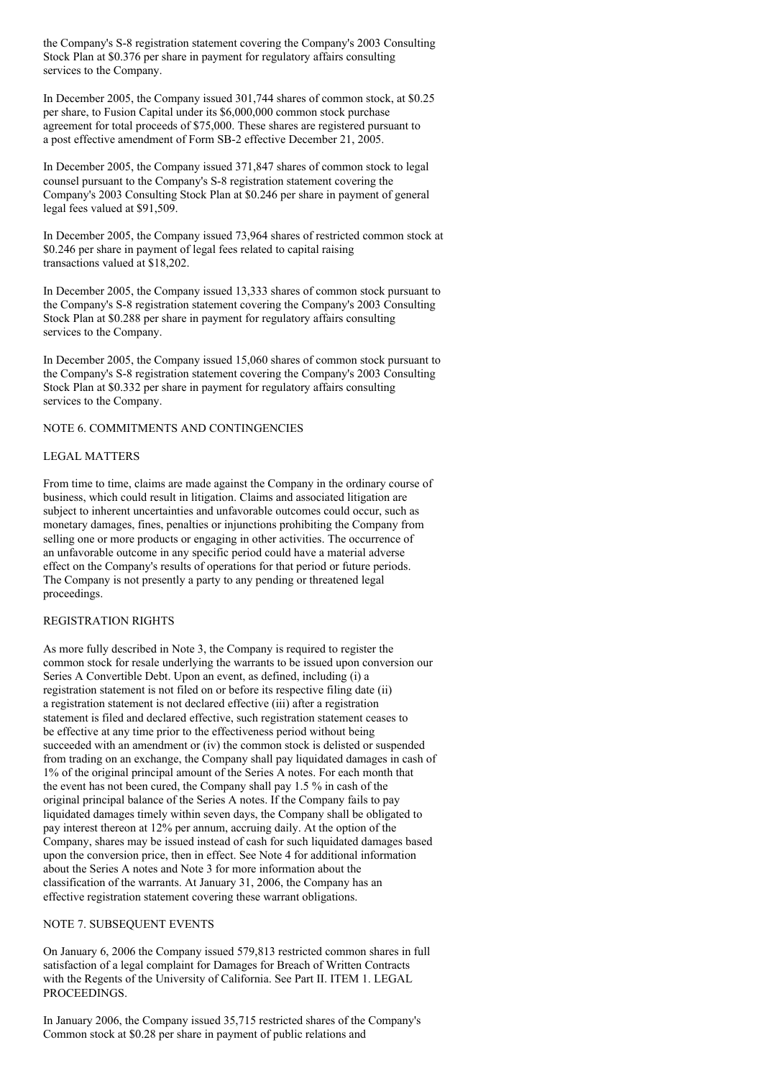the Company's S-8 registration statement covering the Company's 2003 Consulting Stock Plan at \$0.376 per share in payment for regulatory affairs consulting services to the Company.

In December 2005, the Company issued 301,744 shares of common stock, at \$0.25 per share, to Fusion Capital under its \$6,000,000 common stock purchase agreement for total proceeds of \$75,000. These shares are registered pursuant to a post effective amendment of Form SB-2 effective December 21, 2005.

In December 2005, the Company issued 371,847 shares of common stock to legal counsel pursuant to the Company's S-8 registration statement covering the Company's 2003 Consulting Stock Plan at \$0.246 per share in payment of general legal fees valued at \$91,509.

In December 2005, the Company issued 73,964 shares of restricted common stock at \$0.246 per share in payment of legal fees related to capital raising transactions valued at \$18,202.

In December 2005, the Company issued 13,333 shares of common stock pursuant to the Company's S-8 registration statement covering the Company's 2003 Consulting Stock Plan at \$0.288 per share in payment for regulatory affairs consulting services to the Company.

In December 2005, the Company issued 15,060 shares of common stock pursuant to the Company's S-8 registration statement covering the Company's 2003 Consulting Stock Plan at \$0.332 per share in payment for regulatory affairs consulting services to the Company.

# NOTE 6. COMMITMENTS AND CONTINGENCIES

#### LEGAL MATTERS

From time to time, claims are made against the Company in the ordinary course of business, which could result in litigation. Claims and associated litigation are subject to inherent uncertainties and unfavorable outcomes could occur, such as monetary damages, fines, penalties or injunctions prohibiting the Company from selling one or more products or engaging in other activities. The occurrence of an unfavorable outcome in any specific period could have a material adverse effect on the Company's results of operations for that period or future periods. The Company is not presently a party to any pending or threatened legal proceedings.

### REGISTRATION RIGHTS

As more fully described in Note 3, the Company is required to register the common stock for resale underlying the warrants to be issued upon conversion our Series A Convertible Debt. Upon an event, as defined, including (i) a registration statement is not filed on or before its respective filing date (ii) a registration statement is not declared effective (iii) after a registration statement is filed and declared effective, such registration statement ceases to be effective at any time prior to the effectiveness period without being succeeded with an amendment or (iv) the common stock is delisted or suspended from trading on an exchange, the Company shall pay liquidated damages in cash of 1% of the original principal amount of the Series A notes. For each month that the event has not been cured, the Company shall pay 1.5 % in cash of the original principal balance of the Series A notes. If the Company fails to pay liquidated damages timely within seven days, the Company shall be obligated to pay interest thereon at 12% per annum, accruing daily. At the option of the Company, shares may be issued instead of cash for such liquidated damages based upon the conversion price, then in effect. See Note 4 for additional information about the Series A notes and Note 3 for more information about the classification of the warrants. At January 31, 2006, the Company has an effective registration statement covering these warrant obligations.

# NOTE 7. SUBSEQUENT EVENTS

On January 6, 2006 the Company issued 579,813 restricted common shares in full satisfaction of a legal complaint for Damages for Breach of Written Contracts with the Regents of the University of California. See Part II. ITEM 1. LEGAL PROCEEDINGS.

In January 2006, the Company issued 35,715 restricted shares of the Company's Common stock at \$0.28 per share in payment of public relations and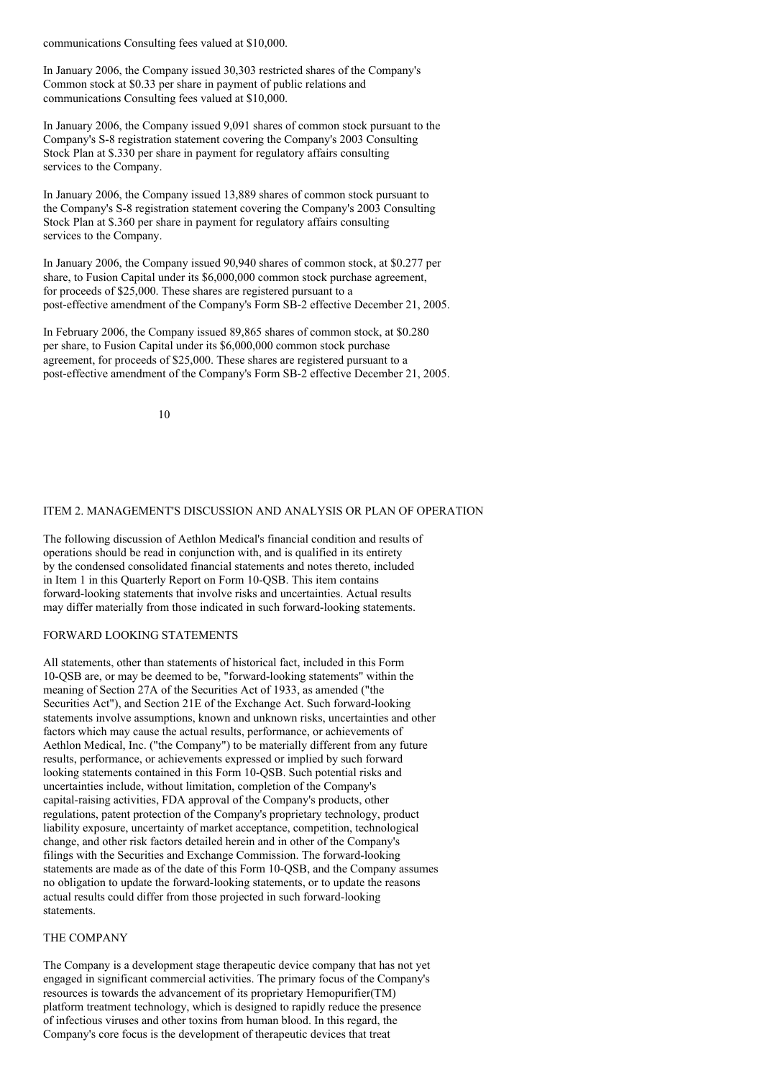communications Consulting fees valued at \$10,000.

In January 2006, the Company issued 30,303 restricted shares of the Company's Common stock at \$0.33 per share in payment of public relations and communications Consulting fees valued at \$10,000.

In January 2006, the Company issued 9,091 shares of common stock pursuant to the Company's S-8 registration statement covering the Company's 2003 Consulting Stock Plan at \$.330 per share in payment for regulatory affairs consulting services to the Company.

In January 2006, the Company issued 13,889 shares of common stock pursuant to the Company's S-8 registration statement covering the Company's 2003 Consulting Stock Plan at \$.360 per share in payment for regulatory affairs consulting services to the Company.

In January 2006, the Company issued 90,940 shares of common stock, at \$0.277 per share, to Fusion Capital under its \$6,000,000 common stock purchase agreement, for proceeds of \$25,000. These shares are registered pursuant to a post-effective amendment of the Company's Form SB-2 effective December 21, 2005.

In February 2006, the Company issued 89,865 shares of common stock, at \$0.280 per share, to Fusion Capital under its \$6,000,000 common stock purchase agreement, for proceeds of \$25,000. These shares are registered pursuant to a post-effective amendment of the Company's Form SB-2 effective December 21, 2005.

10

## ITEM 2. MANAGEMENT'S DISCUSSION AND ANALYSIS OR PLAN OF OPERATION

The following discussion of Aethlon Medical's financial condition and results of operations should be read in conjunction with, and is qualified in its entirety by the condensed consolidated financial statements and notes thereto, included in Item 1 in this Quarterly Report on Form 10-QSB. This item contains forward-looking statements that involve risks and uncertainties. Actual results may differ materially from those indicated in such forward-looking statements.

### FORWARD LOOKING STATEMENTS

All statements, other than statements of historical fact, included in this Form 10-QSB are, or may be deemed to be, "forward-looking statements" within the meaning of Section 27A of the Securities Act of 1933, as amended ("the Securities Act"), and Section 21E of the Exchange Act. Such forward-looking statements involve assumptions, known and unknown risks, uncertainties and other factors which may cause the actual results, performance, or achievements of Aethlon Medical, Inc. ("the Company") to be materially different from any future results, performance, or achievements expressed or implied by such forward looking statements contained in this Form 10-QSB. Such potential risks and uncertainties include, without limitation, completion of the Company's capital-raising activities, FDA approval of the Company's products, other regulations, patent protection of the Company's proprietary technology, product liability exposure, uncertainty of market acceptance, competition, technological change, and other risk factors detailed herein and in other of the Company's filings with the Securities and Exchange Commission. The forward-looking statements are made as of the date of this Form 10-QSB, and the Company assumes no obligation to update the forward-looking statements, or to update the reasons actual results could differ from those projected in such forward-looking statements.

### THE COMPANY

The Company is a development stage therapeutic device company that has not yet engaged in significant commercial activities. The primary focus of the Company's resources is towards the advancement of its proprietary Hemopurifier(TM) platform treatment technology, which is designed to rapidly reduce the presence of infectious viruses and other toxins from human blood. In this regard, the Company's core focus is the development of therapeutic devices that treat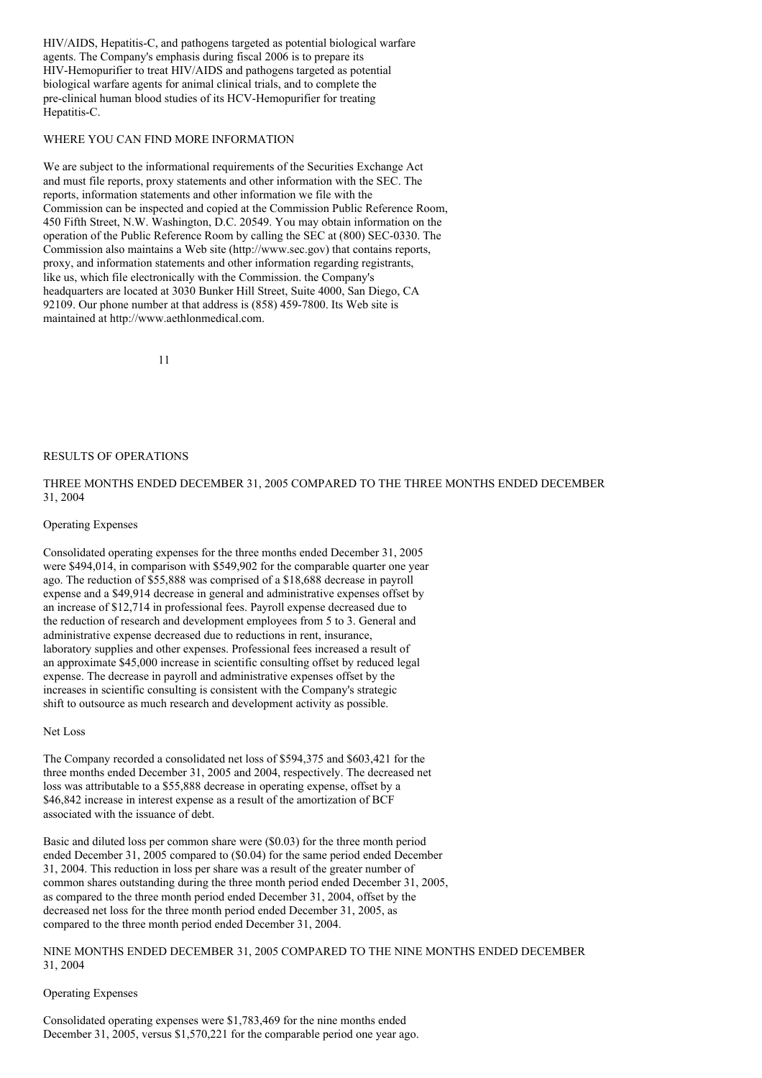HIV/AIDS, Hepatitis-C, and pathogens targeted as potential biological warfare agents. The Company's emphasis during fiscal 2006 is to prepare its HIV-Hemopurifier to treat HIV/AIDS and pathogens targeted as potential biological warfare agents for animal clinical trials, and to complete the pre-clinical human blood studies of its HCV-Hemopurifier for treating Hepatitis-C.

# WHERE YOU CAN FIND MORE INFORMATION

We are subject to the informational requirements of the Securities Exchange Act and must file reports, proxy statements and other information with the SEC. The reports, information statements and other information we file with the Commission can be inspected and copied at the Commission Public Reference Room, 450 Fifth Street, N.W. Washington, D.C. 20549. You may obtain information on the operation of the Public Reference Room by calling the SEC at (800) SEC-0330. The Commission also maintains a Web site (http://www.sec.gov) that contains reports, proxy, and information statements and other information regarding registrants, like us, which file electronically with the Commission. the Company's headquarters are located at 3030 Bunker Hill Street, Suite 4000, San Diego, CA 92109. Our phone number at that address is (858) 459-7800. Its Web site is maintained at http://www.aethlonmedical.com.

11

#### RESULTS OF OPERATIONS

## THREE MONTHS ENDED DECEMBER 31, 2005 COMPARED TO THE THREE MONTHS ENDED DECEMBER 31, 2004

# Operating Expenses

Consolidated operating expenses for the three months ended December 31, 2005 were \$494,014, in comparison with \$549,902 for the comparable quarter one year ago. The reduction of \$55,888 was comprised of a \$18,688 decrease in payroll expense and a \$49,914 decrease in general and administrative expenses offset by an increase of \$12,714 in professional fees. Payroll expense decreased due to the reduction of research and development employees from 5 to 3. General and administrative expense decreased due to reductions in rent, insurance, laboratory supplies and other expenses. Professional fees increased a result of an approximate \$45,000 increase in scientific consulting offset by reduced legal expense. The decrease in payroll and administrative expenses offset by the increases in scientific consulting is consistent with the Company's strategic shift to outsource as much research and development activity as possible.

Net Loss

The Company recorded a consolidated net loss of \$594,375 and \$603,421 for the three months ended December 31, 2005 and 2004, respectively. The decreased net loss was attributable to a \$55,888 decrease in operating expense, offset by a \$46,842 increase in interest expense as a result of the amortization of BCF associated with the issuance of debt.

Basic and diluted loss per common share were (\$0.03) for the three month period ended December 31, 2005 compared to (\$0.04) for the same period ended December 31, 2004. This reduction in loss per share was a result of the greater number of common shares outstanding during the three month period ended December 31, 2005, as compared to the three month period ended December 31, 2004, offset by the decreased net loss for the three month period ended December 31, 2005, as compared to the three month period ended December 31, 2004.

NINE MONTHS ENDED DECEMBER 31, 2005 COMPARED TO THE NINE MONTHS ENDED DECEMBER 31, 2004

#### Operating Expenses

Consolidated operating expenses were \$1,783,469 for the nine months ended December 31, 2005, versus \$1,570,221 for the comparable period one year ago.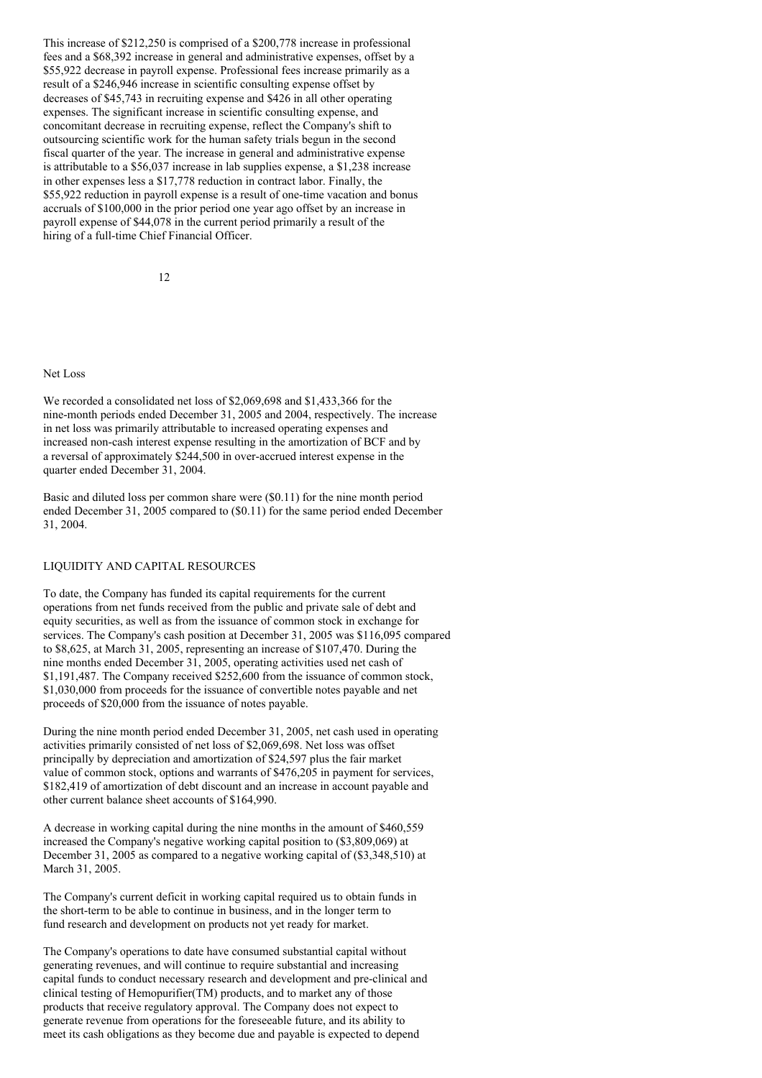This increase of \$212,250 is comprised of a \$200,778 increase in professional fees and a \$68,392 increase in general and administrative expenses, offset by a \$55,922 decrease in payroll expense. Professional fees increase primarily as a result of a \$246,946 increase in scientific consulting expense offset by decreases of \$45,743 in recruiting expense and \$426 in all other operating expenses. The significant increase in scientific consulting expense, and concomitant decrease in recruiting expense, reflect the Company's shift to outsourcing scientific work for the human safety trials begun in the second fiscal quarter of the year. The increase in general and administrative expense is attributable to a \$56,037 increase in lab supplies expense, a \$1,238 increase in other expenses less a \$17,778 reduction in contract labor. Finally, the \$55,922 reduction in payroll expense is a result of one-time vacation and bonus accruals of \$100,000 in the prior period one year ago offset by an increase in payroll expense of \$44,078 in the current period primarily a result of the hiring of a full-time Chief Financial Officer.

 $12$ 

#### Net Loss

We recorded a consolidated net loss of \$2,069,698 and \$1,433,366 for the nine-month periods ended December 31, 2005 and 2004, respectively. The increase in net loss was primarily attributable to increased operating expenses and increased non-cash interest expense resulting in the amortization of BCF and by a reversal of approximately \$244,500 in over-accrued interest expense in the quarter ended December 31, 2004.

Basic and diluted loss per common share were (\$0.11) for the nine month period ended December 31, 2005 compared to (\$0.11) for the same period ended December 31, 2004.

### LIQUIDITY AND CAPITAL RESOURCES

To date, the Company has funded its capital requirements for the current operations from net funds received from the public and private sale of debt and equity securities, as well as from the issuance of common stock in exchange for services. The Company's cash position at December 31, 2005 was \$116,095 compared to \$8,625, at March 31, 2005, representing an increase of \$107,470. During the nine months ended December 31, 2005, operating activities used net cash of \$1,191,487. The Company received \$252,600 from the issuance of common stock, \$1,030,000 from proceeds for the issuance of convertible notes payable and net proceeds of \$20,000 from the issuance of notes payable.

During the nine month period ended December 31, 2005, net cash used in operating activities primarily consisted of net loss of \$2,069,698. Net loss was offset principally by depreciation and amortization of \$24,597 plus the fair market value of common stock, options and warrants of \$476,205 in payment for services, \$182,419 of amortization of debt discount and an increase in account payable and other current balance sheet accounts of \$164,990.

A decrease in working capital during the nine months in the amount of \$460,559 increased the Company's negative working capital position to (\$3,809,069) at December 31, 2005 as compared to a negative working capital of (\$3,348,510) at March 31, 2005.

The Company's current deficit in working capital required us to obtain funds in the short-term to be able to continue in business, and in the longer term to fund research and development on products not yet ready for market.

The Company's operations to date have consumed substantial capital without generating revenues, and will continue to require substantial and increasing capital funds to conduct necessary research and development and pre-clinical and clinical testing of Hemopurifier(TM) products, and to market any of those products that receive regulatory approval. The Company does not expect to generate revenue from operations for the foreseeable future, and its ability to meet its cash obligations as they become due and payable is expected to depend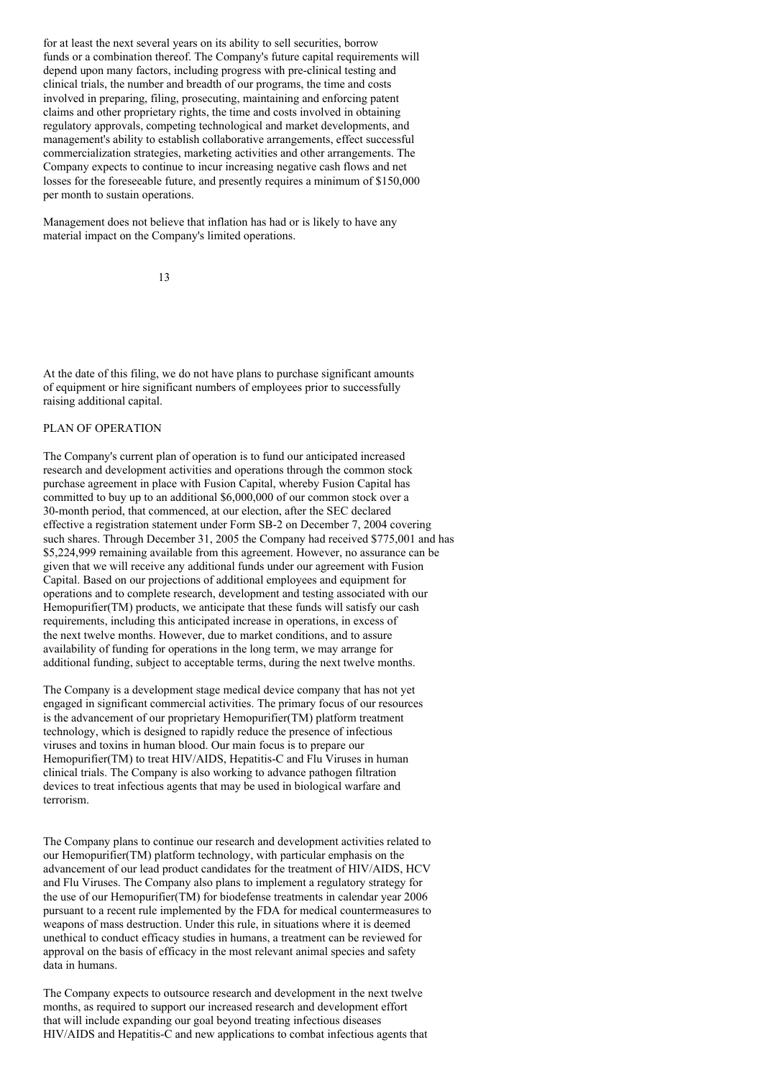for at least the next several years on its ability to sell securities, borrow funds or a combination thereof. The Company's future capital requirements will depend upon many factors, including progress with pre-clinical testing and clinical trials, the number and breadth of our programs, the time and costs involved in preparing, filing, prosecuting, maintaining and enforcing patent claims and other proprietary rights, the time and costs involved in obtaining regulatory approvals, competing technological and market developments, and management's ability to establish collaborative arrangements, effect successful commercialization strategies, marketing activities and other arrangements. The Company expects to continue to incur increasing negative cash flows and net losses for the foreseeable future, and presently requires a minimum of \$150,000 per month to sustain operations.

Management does not believe that inflation has had or is likely to have any material impact on the Company's limited operations.

13

At the date of this filing, we do not have plans to purchase significant amounts of equipment or hire significant numbers of employees prior to successfully raising additional capital.

# PLAN OF OPERATION

The Company's current plan of operation is to fund our anticipated increased research and development activities and operations through the common stock purchase agreement in place with Fusion Capital, whereby Fusion Capital has committed to buy up to an additional \$6,000,000 of our common stock over a 30-month period, that commenced, at our election, after the SEC declared effective a registration statement under Form SB-2 on December 7, 2004 covering such shares. Through December 31, 2005 the Company had received \$775,001 and has \$5,224,999 remaining available from this agreement. However, no assurance can be given that we will receive any additional funds under our agreement with Fusion Capital. Based on our projections of additional employees and equipment for operations and to complete research, development and testing associated with our Hemopurifier(TM) products, we anticipate that these funds will satisfy our cash requirements, including this anticipated increase in operations, in excess of the next twelve months. However, due to market conditions, and to assure availability of funding for operations in the long term, we may arrange for additional funding, subject to acceptable terms, during the next twelve months.

The Company is a development stage medical device company that has not yet engaged in significant commercial activities. The primary focus of our resources is the advancement of our proprietary Hemopurifier(TM) platform treatment technology, which is designed to rapidly reduce the presence of infectious viruses and toxins in human blood. Our main focus is to prepare our Hemopurifier(TM) to treat HIV/AIDS, Hepatitis-C and Flu Viruses in human clinical trials. The Company is also working to advance pathogen filtration devices to treat infectious agents that may be used in biological warfare and terrorism.

The Company plans to continue our research and development activities related to our Hemopurifier(TM) platform technology, with particular emphasis on the advancement of our lead product candidates for the treatment of HIV/AIDS, HCV and Flu Viruses. The Company also plans to implement a regulatory strategy for the use of our Hemopurifier(TM) for biodefense treatments in calendar year 2006 pursuant to a recent rule implemented by the FDA for medical countermeasures to weapons of mass destruction. Under this rule, in situations where it is deemed unethical to conduct efficacy studies in humans, a treatment can be reviewed for approval on the basis of efficacy in the most relevant animal species and safety data in humans.

The Company expects to outsource research and development in the next twelve months, as required to support our increased research and development effort that will include expanding our goal beyond treating infectious diseases HIV/AIDS and Hepatitis-C and new applications to combat infectious agents that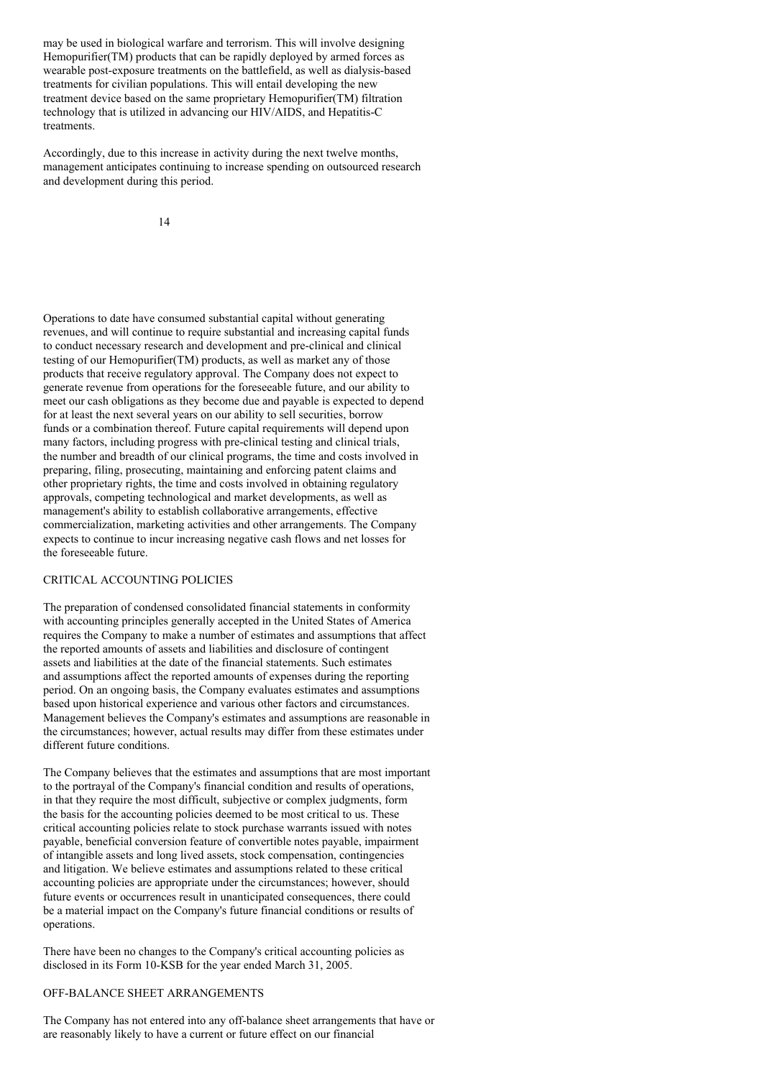may be used in biological warfare and terrorism. This will involve designing Hemopurifier(TM) products that can be rapidly deployed by armed forces as wearable post-exposure treatments on the battlefield, as well as dialysis-based treatments for civilian populations. This will entail developing the new treatment device based on the same proprietary Hemopurifier(TM) filtration technology that is utilized in advancing our HIV/AIDS, and Hepatitis-C treatments.

Accordingly, due to this increase in activity during the next twelve months, management anticipates continuing to increase spending on outsourced research and development during this period.

| ٠ |
|---|
|   |

Operations to date have consumed substantial capital without generating revenues, and will continue to require substantial and increasing capital funds to conduct necessary research and development and pre-clinical and clinical testing of our Hemopurifier(TM) products, as well as market any of those products that receive regulatory approval. The Company does not expect to generate revenue from operations for the foreseeable future, and our ability to meet our cash obligations as they become due and payable is expected to depend for at least the next several years on our ability to sell securities, borrow funds or a combination thereof. Future capital requirements will depend upon many factors, including progress with pre-clinical testing and clinical trials, the number and breadth of our clinical programs, the time and costs involved in preparing, filing, prosecuting, maintaining and enforcing patent claims and other proprietary rights, the time and costs involved in obtaining regulatory approvals, competing technological and market developments, as well as management's ability to establish collaborative arrangements, effective commercialization, marketing activities and other arrangements. The Company expects to continue to incur increasing negative cash flows and net losses for the foreseeable future.

## CRITICAL ACCOUNTING POLICIES

The preparation of condensed consolidated financial statements in conformity with accounting principles generally accepted in the United States of America requires the Company to make a number of estimates and assumptions that affect the reported amounts of assets and liabilities and disclosure of contingent assets and liabilities at the date of the financial statements. Such estimates and assumptions affect the reported amounts of expenses during the reporting period. On an ongoing basis, the Company evaluates estimates and assumptions based upon historical experience and various other factors and circumstances. Management believes the Company's estimates and assumptions are reasonable in the circumstances; however, actual results may differ from these estimates under different future conditions.

The Company believes that the estimates and assumptions that are most important to the portrayal of the Company's financial condition and results of operations, in that they require the most difficult, subjective or complex judgments, form the basis for the accounting policies deemed to be most critical to us. These critical accounting policies relate to stock purchase warrants issued with notes payable, beneficial conversion feature of convertible notes payable, impairment of intangible assets and long lived assets, stock compensation, contingencies and litigation. We believe estimates and assumptions related to these critical accounting policies are appropriate under the circumstances; however, should future events or occurrences result in unanticipated consequences, there could be a material impact on the Company's future financial conditions or results of operations.

There have been no changes to the Company's critical accounting policies as disclosed in its Form 10-KSB for the year ended March 31, 2005.

# OFF-BALANCE SHEET ARRANGEMENTS

The Company has not entered into any off-balance sheet arrangements that have or are reasonably likely to have a current or future effect on our financial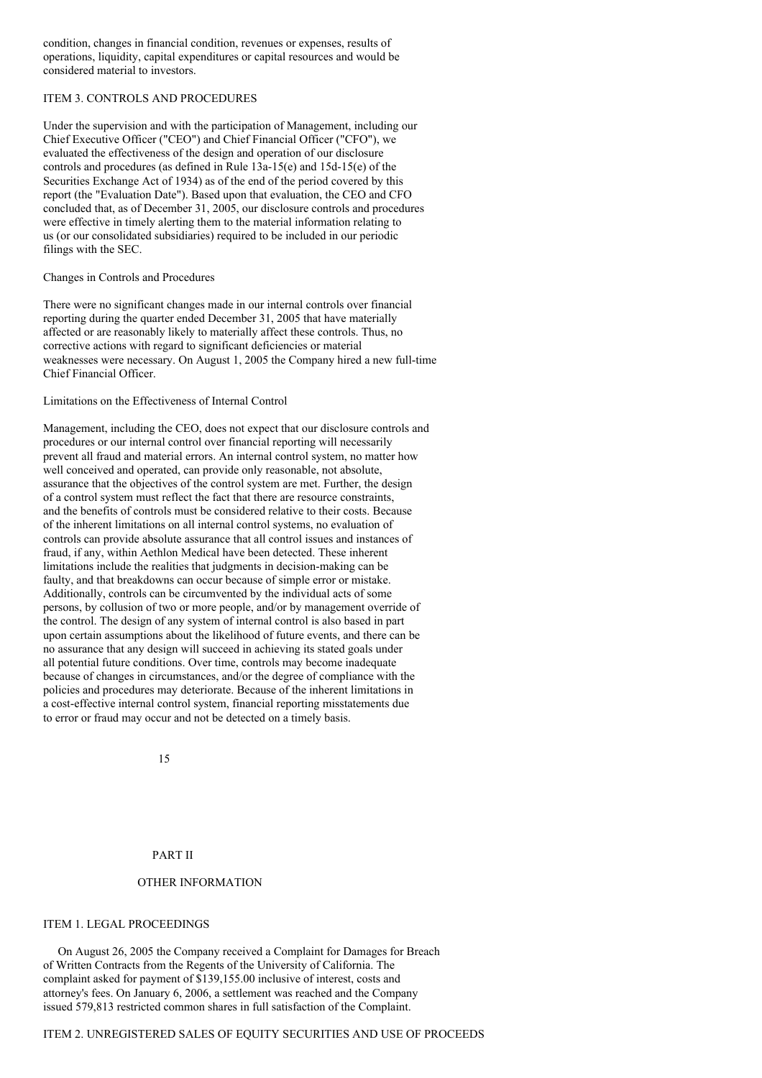condition, changes in financial condition, revenues or expenses, results of operations, liquidity, capital expenditures or capital resources and would be considered material to investors.

## ITEM 3. CONTROLS AND PROCEDURES

Under the supervision and with the participation of Management, including our Chief Executive Officer ("CEO") and Chief Financial Officer ("CFO"), we evaluated the effectiveness of the design and operation of our disclosure controls and procedures (as defined in Rule 13a-15(e) and 15d-15(e) of the Securities Exchange Act of 1934) as of the end of the period covered by this report (the "Evaluation Date"). Based upon that evaluation, the CEO and CFO concluded that, as of December 31, 2005, our disclosure controls and procedures were effective in timely alerting them to the material information relating to us (or our consolidated subsidiaries) required to be included in our periodic filings with the SEC.

#### Changes in Controls and Procedures

There were no significant changes made in our internal controls over financial reporting during the quarter ended December 31, 2005 that have materially affected or are reasonably likely to materially affect these controls. Thus, no corrective actions with regard to significant deficiencies or material weaknesses were necessary. On August 1, 2005 the Company hired a new full-time Chief Financial Officer.

#### Limitations on the Effectiveness of Internal Control

Management, including the CEO, does not expect that our disclosure controls and procedures or our internal control over financial reporting will necessarily prevent all fraud and material errors. An internal control system, no matter how well conceived and operated, can provide only reasonable, not absolute, assurance that the objectives of the control system are met. Further, the design of a control system must reflect the fact that there are resource constraints, and the benefits of controls must be considered relative to their costs. Because of the inherent limitations on all internal control systems, no evaluation of controls can provide absolute assurance that all control issues and instances of fraud, if any, within Aethlon Medical have been detected. These inherent limitations include the realities that judgments in decision-making can be faulty, and that breakdowns can occur because of simple error or mistake. Additionally, controls can be circumvented by the individual acts of some persons, by collusion of two or more people, and/or by management override of the control. The design of any system of internal control is also based in part upon certain assumptions about the likelihood of future events, and there can be no assurance that any design will succeed in achieving its stated goals under all potential future conditions. Over time, controls may become inadequate because of changes in circumstances, and/or the degree of compliance with the policies and procedures may deteriorate. Because of the inherent limitations in a cost-effective internal control system, financial reporting misstatements due to error or fraud may occur and not be detected on a timely basis.

15

### PART II

#### OTHER INFORMATION

## ITEM 1. LEGAL PROCEEDINGS

On August 26, 2005 the Company received a Complaint for Damages for Breach of Written Contracts from the Regents of the University of California. The complaint asked for payment of \$139,155.00 inclusive of interest, costs and attorney's fees. On January 6, 2006, a settlement was reached and the Company issued 579,813 restricted common shares in full satisfaction of the Complaint.

#### ITEM 2. UNREGISTERED SALES OF EQUITY SECURITIES AND USE OF PROCEEDS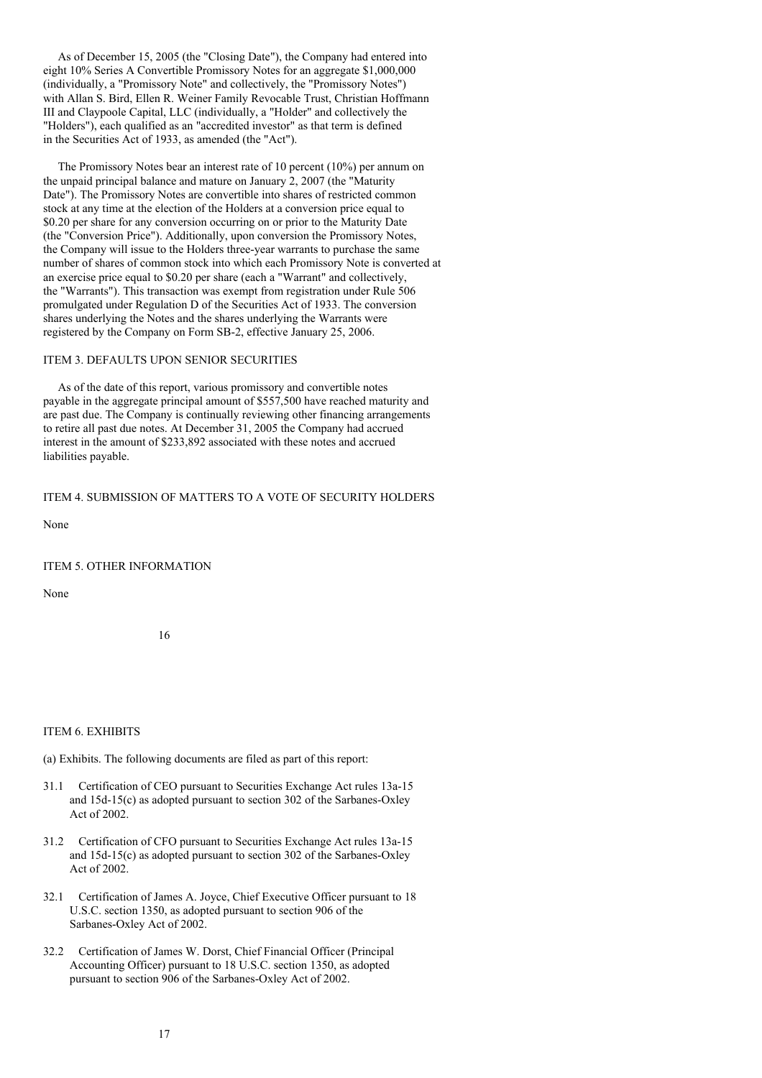As of December 15, 2005 (the "Closing Date"), the Company had entered into eight 10% Series A Convertible Promissory Notes for an aggregate \$1,000,000 (individually, a "Promissory Note" and collectively, the "Promissory Notes") with Allan S. Bird, Ellen R. Weiner Family Revocable Trust, Christian Hoffmann III and Claypoole Capital, LLC (individually, a "Holder" and collectively the "Holders"), each qualified as an "accredited investor" as that term is defined in the Securities Act of 1933, as amended (the "Act").

The Promissory Notes bear an interest rate of 10 percent (10%) per annum on the unpaid principal balance and mature on January 2, 2007 (the "Maturity Date"). The Promissory Notes are convertible into shares of restricted common stock at any time at the election of the Holders at a conversion price equal to \$0.20 per share for any conversion occurring on or prior to the Maturity Date (the "Conversion Price"). Additionally, upon conversion the Promissory Notes, the Company will issue to the Holders three-year warrants to purchase the same number of shares of common stock into which each Promissory Note is converted at an exercise price equal to \$0.20 per share (each a "Warrant" and collectively, the "Warrants"). This transaction was exempt from registration under Rule 506 promulgated under Regulation D of the Securities Act of 1933. The conversion shares underlying the Notes and the shares underlying the Warrants were registered by the Company on Form SB-2, effective January 25, 2006.

### ITEM 3. DEFAULTS UPON SENIOR SECURITIES

As of the date of this report, various promissory and convertible notes payable in the aggregate principal amount of \$557,500 have reached maturity and are past due. The Company is continually reviewing other financing arrangements to retire all past due notes. At December 31, 2005 the Company had accrued interest in the amount of \$233,892 associated with these notes and accrued liabilities payable.

## ITEM 4. SUBMISSION OF MATTERS TO A VOTE OF SECURITY HOLDERS

None

#### ITEM 5. OTHER INFORMATION

None

16

#### ITEM 6. EXHIBITS

- (a) Exhibits. The following documents are filed as part of this report:
- 31.1 Certification of CEO pursuant to Securities Exchange Act rules 13a-15 and 15d-15(c) as adopted pursuant to section 302 of the Sarbanes-Oxley Act of 2002.
- 31.2 Certification of CFO pursuant to Securities Exchange Act rules 13a-15 and 15d-15(c) as adopted pursuant to section 302 of the Sarbanes-Oxley Act of 2002.
- 32.1 Certification of James A. Joyce, Chief Executive Officer pursuant to 18 U.S.C. section 1350, as adopted pursuant to section 906 of the Sarbanes-Oxley Act of 2002.
- 32.2 Certification of James W. Dorst, Chief Financial Officer (Principal Accounting Officer) pursuant to 18 U.S.C. section 1350, as adopted pursuant to section 906 of the Sarbanes-Oxley Act of 2002.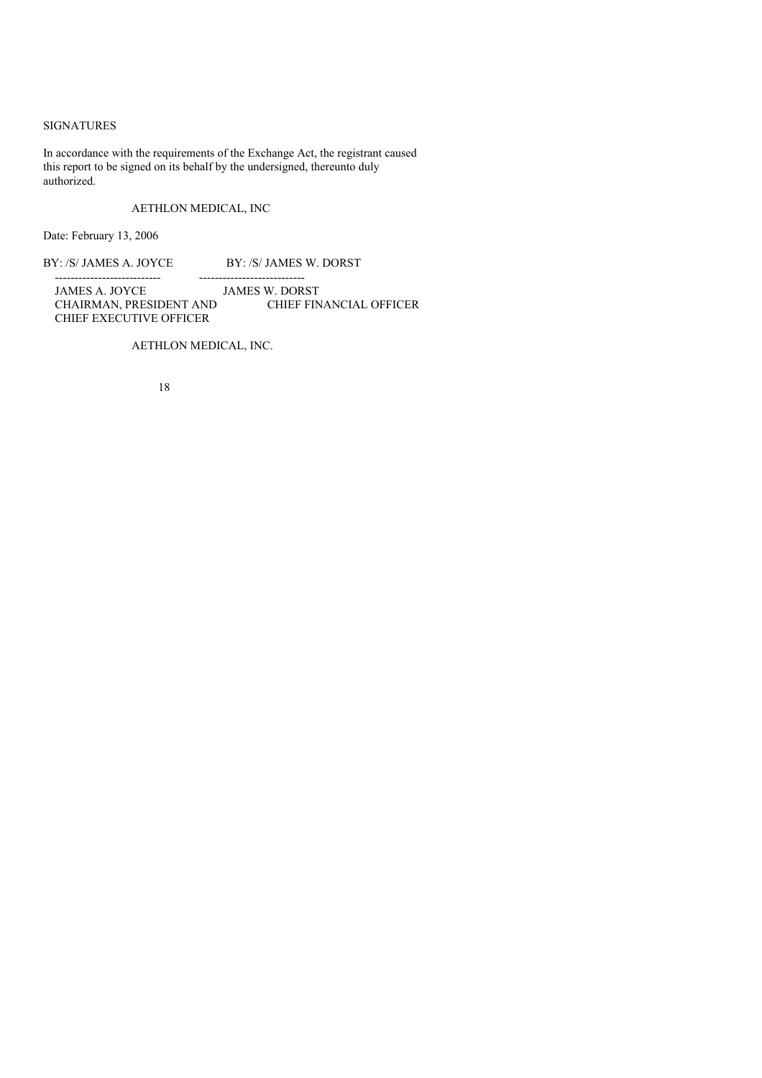## SIGNATURES

In accordance with the requirements of the Exchange Act, the registrant caused this report to be signed on its behalf by the undersigned, thereunto duly authorized.

## AETHLON MEDICAL, INC

Date: February 13, 2006

BY: /S/ JAMES A. JOYCE BY: /S/ JAMES W. DORST

--------------------------- --------------------------- JAMES W. DORST CHAIRMAN, PRESIDENT AND CHIEF FINANCIAL OFFICER CHIEF EXECUTIVE OFFICER

AETHLON MEDICAL, INC.

18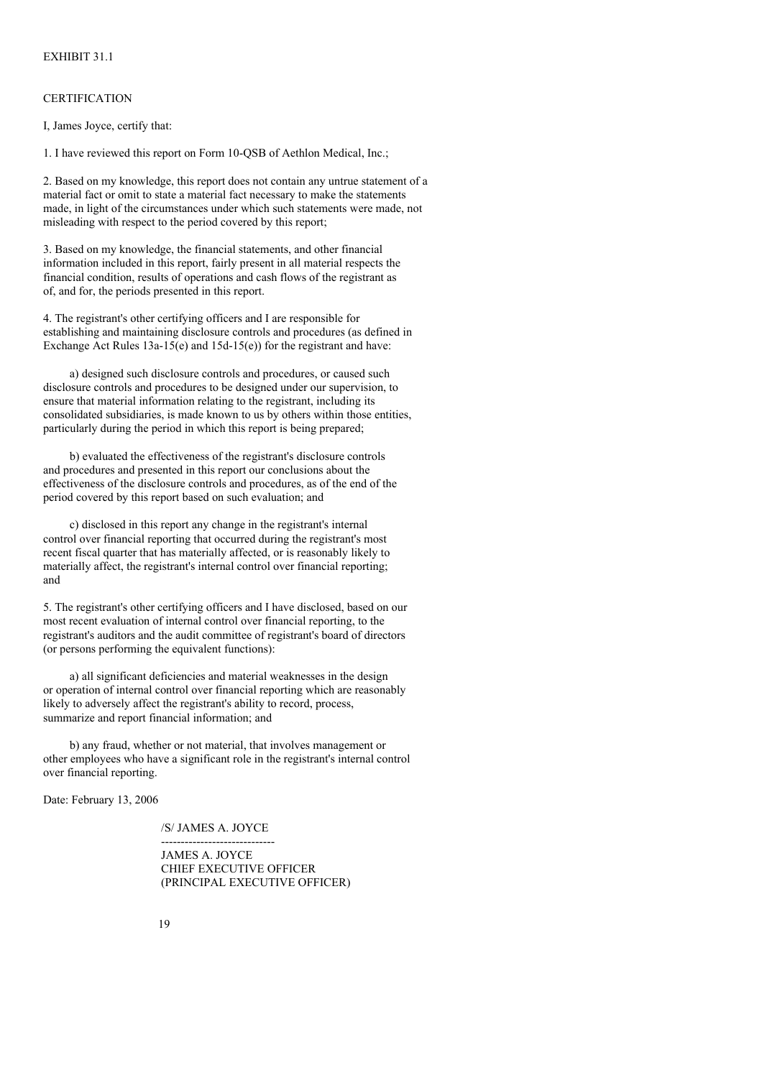#### EXHIBIT 31.1

#### **CERTIFICATION**

I, James Joyce, certify that:

1. I have reviewed this report on Form 10-QSB of Aethlon Medical, Inc.;

2. Based on my knowledge, this report does not contain any untrue statement of a material fact or omit to state a material fact necessary to make the statements made, in light of the circumstances under which such statements were made, not misleading with respect to the period covered by this report;

3. Based on my knowledge, the financial statements, and other financial information included in this report, fairly present in all material respects the financial condition, results of operations and cash flows of the registrant as of, and for, the periods presented in this report.

4. The registrant's other certifying officers and I are responsible for establishing and maintaining disclosure controls and procedures (as defined in Exchange Act Rules  $13a-15(e)$  and  $15d-15(e)$  for the registrant and have:

a) designed such disclosure controls and procedures, or caused such disclosure controls and procedures to be designed under our supervision, to ensure that material information relating to the registrant, including its consolidated subsidiaries, is made known to us by others within those entities, particularly during the period in which this report is being prepared;

b) evaluated the effectiveness of the registrant's disclosure controls and procedures and presented in this report our conclusions about the effectiveness of the disclosure controls and procedures, as of the end of the period covered by this report based on such evaluation; and

c) disclosed in this report any change in the registrant's internal control over financial reporting that occurred during the registrant's most recent fiscal quarter that has materially affected, or is reasonably likely to materially affect, the registrant's internal control over financial reporting; and

5. The registrant's other certifying officers and I have disclosed, based on our most recent evaluation of internal control over financial reporting, to the registrant's auditors and the audit committee of registrant's board of directors (or persons performing the equivalent functions):

a) all significant deficiencies and material weaknesses in the design or operation of internal control over financial reporting which are reasonably likely to adversely affect the registrant's ability to record, process, summarize and report financial information; and

b) any fraud, whether or not material, that involves management or other employees who have a significant role in the registrant's internal control over financial reporting.

Date: February 13, 2006

/S/ JAMES A. JOYCE -----------------------------

JAMES A. JOYCE CHIEF EXECUTIVE OFFICER (PRINCIPAL EXECUTIVE OFFICER)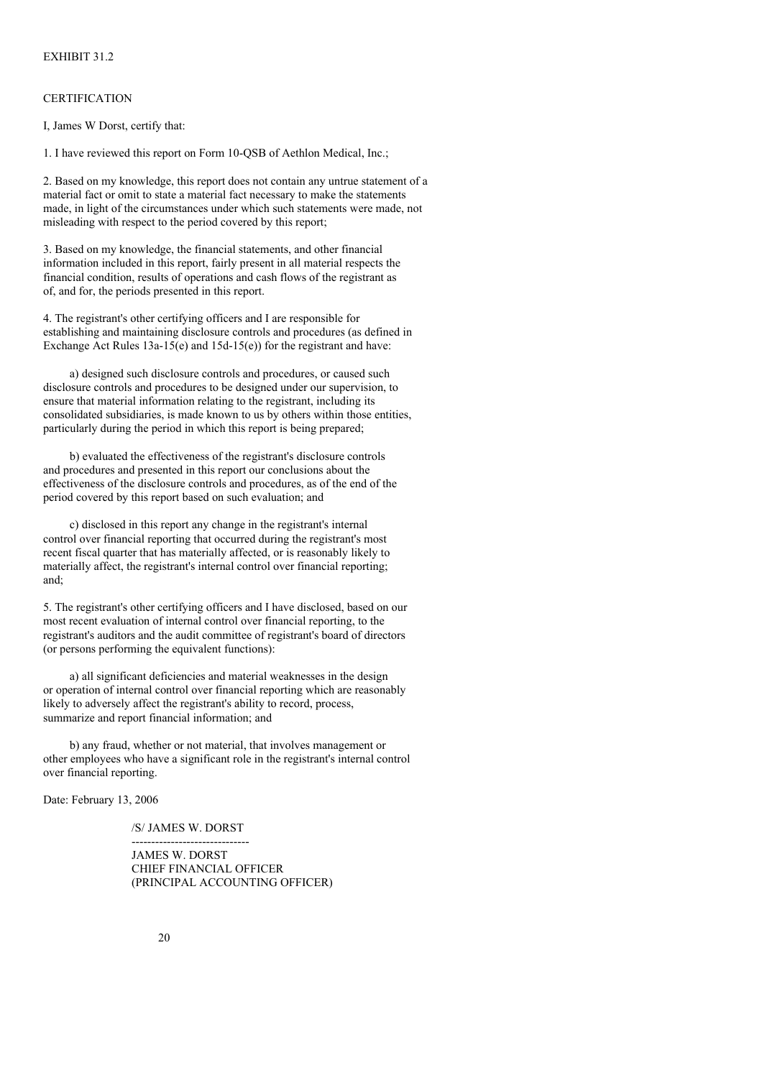#### EXHIBIT 31.2

#### **CERTIFICATION**

I, James W Dorst, certify that:

1. I have reviewed this report on Form 10-QSB of Aethlon Medical, Inc.;

2. Based on my knowledge, this report does not contain any untrue statement of a material fact or omit to state a material fact necessary to make the statements made, in light of the circumstances under which such statements were made, not misleading with respect to the period covered by this report;

3. Based on my knowledge, the financial statements, and other financial information included in this report, fairly present in all material respects the financial condition, results of operations and cash flows of the registrant as of, and for, the periods presented in this report.

4. The registrant's other certifying officers and I are responsible for establishing and maintaining disclosure controls and procedures (as defined in Exchange Act Rules  $13a-15(e)$  and  $15d-15(e)$  for the registrant and have:

a) designed such disclosure controls and procedures, or caused such disclosure controls and procedures to be designed under our supervision, to ensure that material information relating to the registrant, including its consolidated subsidiaries, is made known to us by others within those entities, particularly during the period in which this report is being prepared;

b) evaluated the effectiveness of the registrant's disclosure controls and procedures and presented in this report our conclusions about the effectiveness of the disclosure controls and procedures, as of the end of the period covered by this report based on such evaluation; and

c) disclosed in this report any change in the registrant's internal control over financial reporting that occurred during the registrant's most recent fiscal quarter that has materially affected, or is reasonably likely to materially affect, the registrant's internal control over financial reporting; and;

5. The registrant's other certifying officers and I have disclosed, based on our most recent evaluation of internal control over financial reporting, to the registrant's auditors and the audit committee of registrant's board of directors (or persons performing the equivalent functions):

a) all significant deficiencies and material weaknesses in the design or operation of internal control over financial reporting which are reasonably likely to adversely affect the registrant's ability to record, process, summarize and report financial information; and

b) any fraud, whether or not material, that involves management or other employees who have a significant role in the registrant's internal control over financial reporting.

Date: February 13, 2006

/S/ JAMES W. DORST ------------------------------

JAMES W. DORST CHIEF FINANCIAL OFFICER (PRINCIPAL ACCOUNTING OFFICER)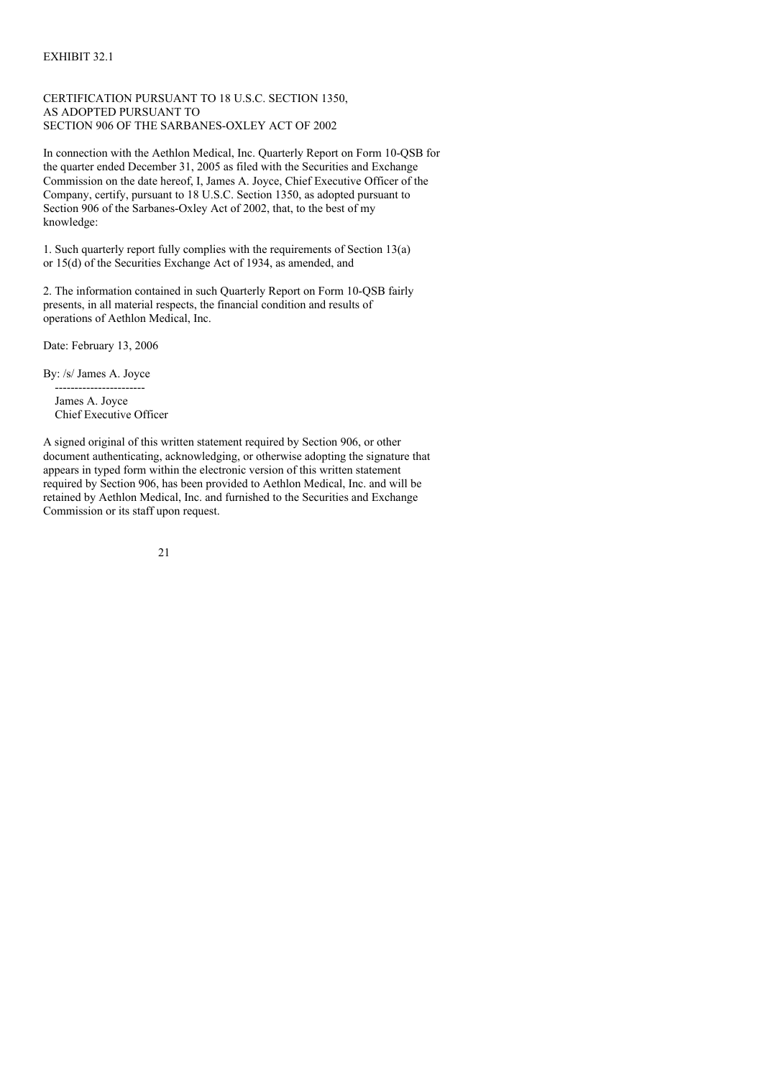### EXHIBIT 32.1

# CERTIFICATION PURSUANT TO 18 U.S.C. SECTION 1350, AS ADOPTED PURSUANT TO SECTION 906 OF THE SARBANES-OXLEY ACT OF 2002

In connection with the Aethlon Medical, Inc. Quarterly Report on Form 10-QSB for the quarter ended December 31, 2005 as filed with the Securities and Exchange Commission on the date hereof, I, James A. Joyce, Chief Executive Officer of the Company, certify, pursuant to 18 U.S.C. Section 1350, as adopted pursuant to Section 906 of the Sarbanes-Oxley Act of 2002, that, to the best of my knowledge:

1. Such quarterly report fully complies with the requirements of Section 13(a) or 15(d) of the Securities Exchange Act of 1934, as amended, and

2. The information contained in such Quarterly Report on Form 10-QSB fairly presents, in all material respects, the financial condition and results of operations of Aethlon Medical, Inc.

Date: February 13, 2006

By: /s/ James A. Joyce

----------------------- James A. Joyce Chief Executive Officer

A signed original of this written statement required by Section 906, or other document authenticating, acknowledging, or otherwise adopting the signature that appears in typed form within the electronic version of this written statement required by Section 906, has been provided to Aethlon Medical, Inc. and will be retained by Aethlon Medical, Inc. and furnished to the Securities and Exchange Commission or its staff upon request.

21